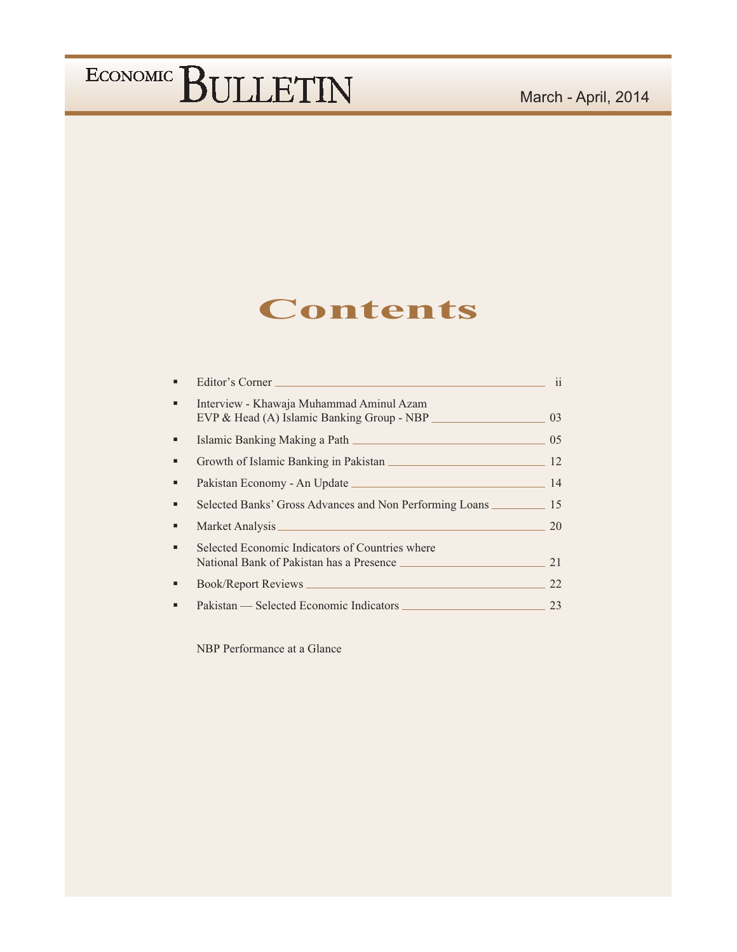### **Contents**

|   | Editor's Corner                                                                             | $\overline{11}$ |
|---|---------------------------------------------------------------------------------------------|-----------------|
| ٠ | Interview - Khawaja Muhammad Aminul Azam<br>EVP & Head (A) Islamic Banking Group - NBP      | 03              |
|   |                                                                                             | 0 <sub>5</sub>  |
|   | Growth of Islamic Banking in Pakistan                                                       | 12              |
| ■ |                                                                                             | 14              |
|   | Selected Banks' Gross Advances and Non Performing Loans                                     | 15              |
|   |                                                                                             | 20              |
|   | Selected Economic Indicators of Countries where<br>National Bank of Pakistan has a Presence | 21              |
|   |                                                                                             | 22              |
|   | Pakistan — Selected Economic Indicators                                                     | 23              |

NBP Performance at a Glance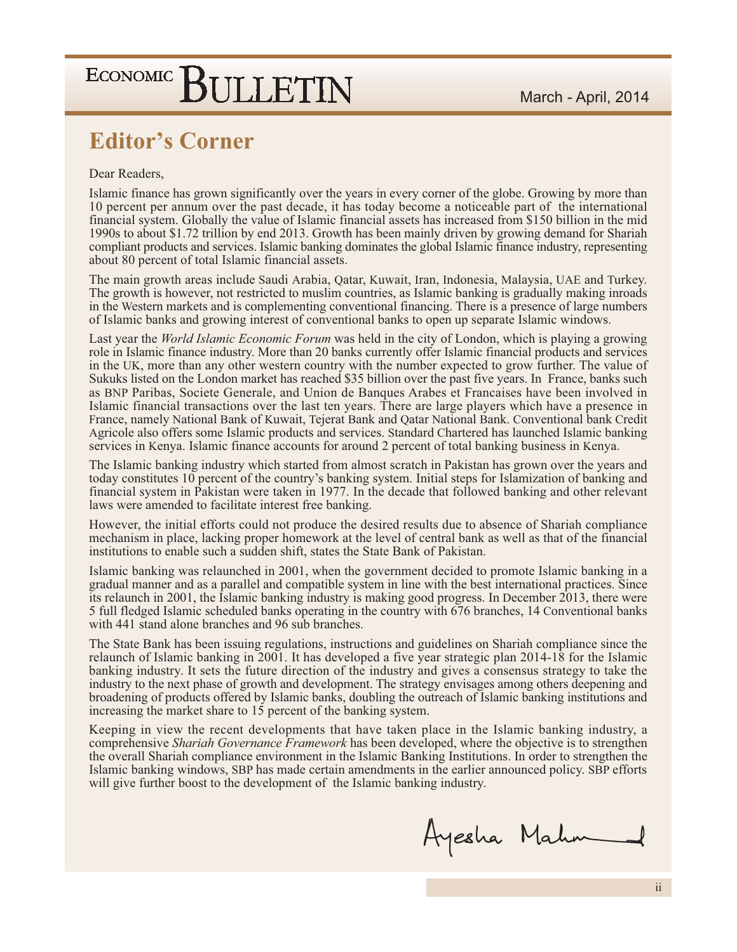### **Editor's Corner**

#### Dear Readers.

Islamic finance has grown significantly over the years in every corner of the globe. Growing by more than 10 percent per annum over the past decade, it has today become a noticeable part of the international financial system. Globally the value of Islamic financial assets has increased from \$150 billion in the mid 1990s to about \$1.72 trillion by end 2013. Growth has been mainly driven by growing demand for Shariah compliant products and services. Islamic banking dominates the global Islamic finance industry, representing about 80 percent of total Islamic financial assets.

The main growth areas include Saudi Arabia, Qatar, Kuwait, Iran, Indonesia, Malaysia, UAE and Turkey. The growth is however, not restricted to muslim countries, as Islamic banking is gradually making inroads in the Western markets and is complementing conventional financing. There is a presence of large numbers of Islamic banks and growing interest of conventional banks to open up separate Islamic windows.

Last year the *World Islamic Economic Forum* was held in the city of London, which is playing a growing role in Islamic finance industry. More than 20 banks currently offer Islamic financial products and services in the UK, more than any other western country with the number expected to grow further. The value of Sukuks listed on the London market has reached \$35 billion over the past five years. In France, banks such as BNP Paribas, Societe Generale, and Union de Banques Arabes et Francaises have been involved in Islamic financial transactions over the last ten years. There are large players which have a presence in France, namely National Bank of Kuwait, Tejerat Bank and Qatar National Bank. Conventional bank Credit Agricole also offers some Islamic products and services. Standard Chartered has launched Islamic banking services in Kenya. Islamic finance accounts for around 2 percent of total banking business in Kenya.

The Islamic banking industry which started from almost scratch in Pakistan has grown over the years and today constitutes 10 percent of the country's banking system. Initial steps for Islamization of banking and financial system in Pakistan were taken in 1977. In the decade that followed banking and other relevant laws were amended to facilitate interest free banking.

However, the initial efforts could not produce the desired results due to absence of Shariah compliance mechanism in place, lacking proper homework at the level of central bank as well as that of the financial institutions to enable such a sudden shift, states the State Bank of Pakistan.

Islamic banking was relaunched in 2001, when the government decided to promote Islamic banking in a gradual manner and as a parallel and compatible system in line with the best international practices. Since its relaunch in 2001, the Islamic banking industry is making good progress. In December 2013, there were 5 full fledged Islamic scheduled banks operating in the country with 676 branches, 14 Conventional banks with 441 stand alone branches and 96 sub branches.

The State Bank has been issuing regulations, instructions and guidelines on Shariah compliance since the relaunch of Islamic banking in 2001. It has developed a five year strategic plan 2014-18 for the Islamic banking industry. It sets the future direction of the industry and gives a consensus strategy to take the industry to the next phase of growth and development. The strategy envisages among others deepening and broadening of products offered by Islamic banks, doubling the outreach of Islamic banking institutions and increasing the market share to 15 percent of the banking system.

Keeping in view the recent developments that have taken place in the Islamic banking industry, a comprehensive *Shariah Governance Framework* has been developed, where the objective is to strengthen the overall Shariah compliance environment in the Islamic Banking Institutions. In order to strengthen the Islamic banking windows, SBP has made certain amendments in the earlier announced policy. SBP efforts will give further boost to the development of the Islamic banking industry.

Ayesha Mahn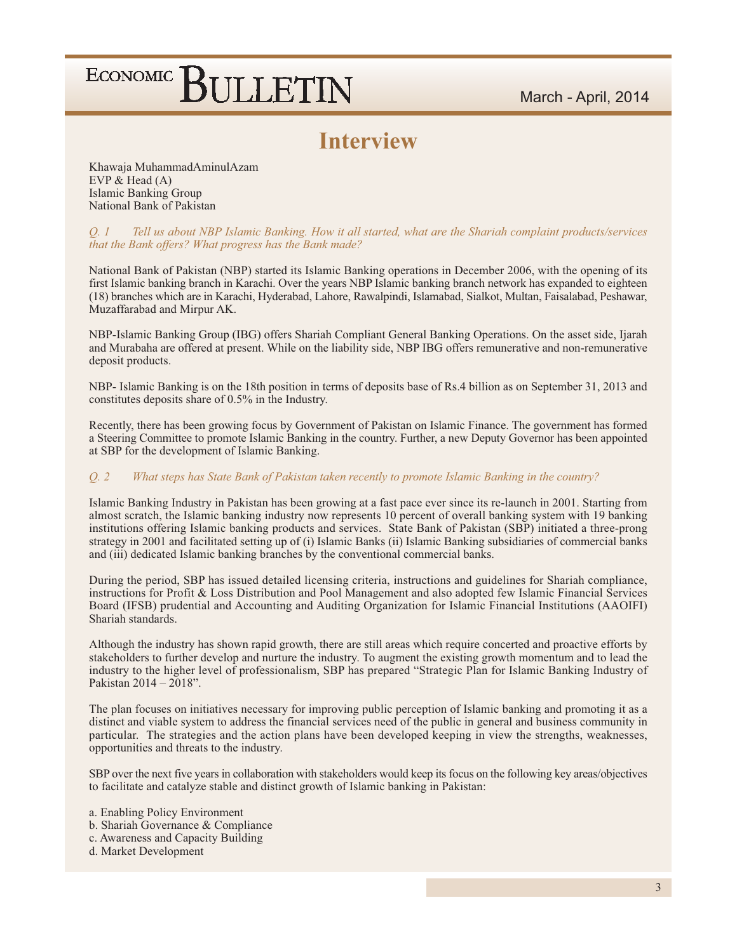### **Interview**

Khawaja MuhammadAminulAzam EVP  $& Head(A)$ **Islamic Banking Group** National Bank of Pakistan

#### Tell us about NBP Islamic Banking. How it all started, what are the Shariah complaint products/services 0.1 that the Bank offers? What progress has the Bank made?

National Bank of Pakistan (NBP) started its Islamic Banking operations in December 2006, with the opening of its first Islamic banking branch in Karachi. Over the years NBP Islamic banking branch network has expanded to eighteen (18) branches which are in Karachi, Hyderabad, Lahore, Rawalpindi, Islamabad, Sialkot, Multan, Faisalabad, Peshawar, Muzaffarabad and Mirpur AK.

NBP-Islamic Banking Group (IBG) offers Shariah Compliant General Banking Operations. On the asset side, Ijarah and Murabaha are offered at present. While on the liability side, NBP IBG offers remunerative and non-remunerative deposit products.

NBP- Islamic Banking is on the 18th position in terms of deposits base of Rs.4 billion as on September 31, 2013 and constitutes deposits share of  $0.5\%$  in the Industry.

Recently, there has been growing focus by Government of Pakistan on Islamic Finance. The government has formed a Steering Committee to promote Islamic Banking in the country. Further, a new Deputy Governor has been appointed at SBP for the development of Islamic Banking.

#### $Q_{1}$ ,  $2$ What steps has State Bank of Pakistan taken recently to promote Islamic Banking in the country?

Islamic Banking Industry in Pakistan has been growing at a fast pace ever since its re-launch in 2001. Starting from almost scratch, the Islamic banking industry now represents 10 percent of overall banking system with 19 banking institutions offering Islamic banking products and services. State Bank of Pakistan (SBP) initiated a three-prong strategy in 2001 and facilitated setting up of (i) Islamic Banks (ii) Islamic Banking subsidiaries of commercial banks and (iii) dedicated Islamic banking branches by the conventional commercial banks.

During the period, SBP has issued detailed licensing criteria, instructions and guidelines for Shariah compliance, instructions for Profit & Loss Distribution and Pool Management and also adopted few Islamic Financial Services Board (IFSB) prudential and Accounting and Auditing Organization for Islamic Financial Institutions (AAOIFI) Shariah standards.

Although the industry has shown rapid growth, there are still areas which require concerted and proactive efforts by stakeholders to further develop and nurture the industry. To augment the existing growth momentum and to lead the industry to the higher level of professionalism, SBP has prepared "Strategic Plan for Islamic Banking Industry of Pakistan  $2014 - 2018$ ".

The plan focuses on initiatives necessary for improving public perception of Islamic banking and promoting it as a distinct and viable system to address the financial services need of the public in general and business community in particular. The strategies and the action plans have been developed keeping in view the strengths, weaknesses, opportunities and threats to the industry.

SBP over the next five years in collaboration with stakeholders would keep its focus on the following key areas/objectives to facilitate and catalyze stable and distinct growth of Islamic banking in Pakistan:

- a. Enabling Policy Environment
- b. Shariah Governance & Compliance
- c. Awareness and Capacity Building
- d. Market Development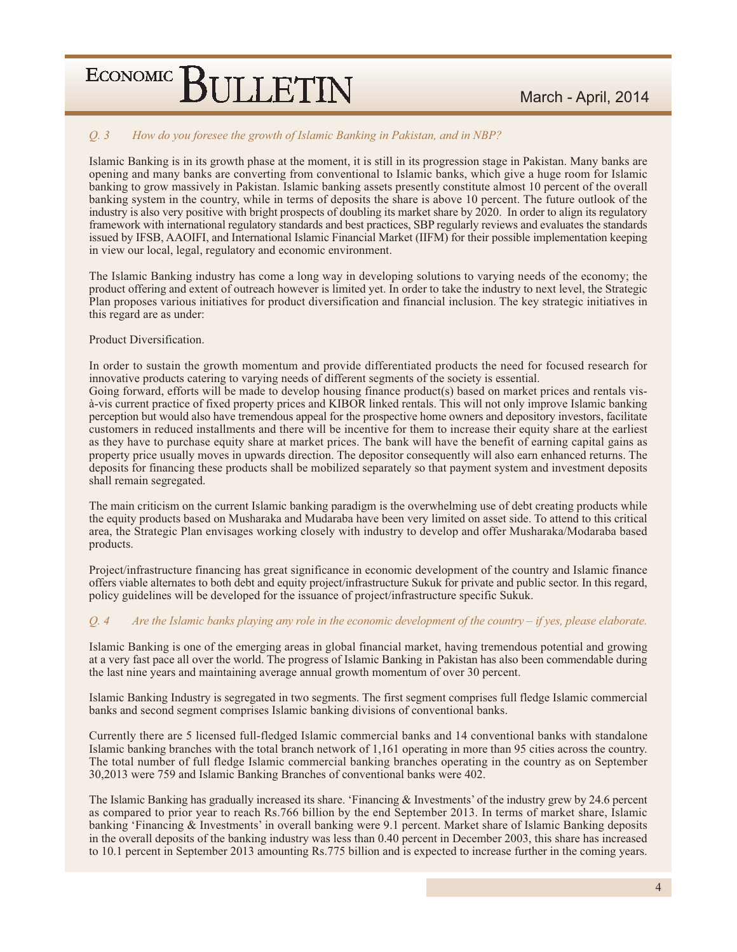#### Q. 3 How do you foresee the growth of Islamic Banking in Pakistan, and in NBP?

Islamic Banking is in its growth phase at the moment, it is still in its progression stage in Pakistan. Many banks are opening and many banks are converting from conventional to Islamic banks, which give a huge room for Islamic banking to grow massively in Pakistan. Islamic banking assets presently constitute almost 10 percent of the overall banking system in the country, while in terms of deposits the share is above 10 percent. The future outlook of the industry is also very positive with bright prospects of doubling its market share by 2020. In order to align its regulatory framework with international regulatory standards and best practices, SBP regularly reviews and evaluates the standards issued by IFSB, AAOIFI, and International Islamic Financial Market (IIFM) for their possible implementation keeping in view our local, legal, regulatory and economic environment.

The Islamic Banking industry has come a long way in developing solutions to varying needs of the economy; the product offering and extent of outreach however is limited yet. In order to take the industry to next level, the Strategic Plan proposes various initiatives for product diversification and financial inclusion. The key strategic initiatives in this regard are as under:

#### Product Diversification.

In order to sustain the growth momentum and provide differentiated products the need for focused research for innovative products catering to varying needs of different segments of the society is essential. Going forward, efforts will be made to develop housing finance product(s) based on market prices and rentals visà-vis current practice of fixed property prices and KIBOR linked rentals. This will not only improve Islamic banking perception but would also have tremendous appeal for the prospective home owners and depository investors, facilitate

customers in reduced installments and there will be incentive for them to increase their equity share at the earliest as they have to purchase equity share at market prices. The bank will have the benefit of earning capital gains as property price usually moves in upwards direction. The depositor consequently will also earn enhanced returns. The deposits for financing these products shall be mobilized separately so that payment system and investment deposits shall remain segregated.

The main criticism on the current Islamic banking paradigm is the overwhelming use of debt creating products while the equity products based on Musharaka and Mudaraba have been very limited on asset side. To attend to this critical area, the Strategic Plan envisages working closely with industry to develop and offer Musharaka/Modaraba based products.

Project/infrastructure financing has great significance in economic development of the country and Islamic finance offers viable alternates to both debt and equity project/infrastructure Sukuk for private and public sector. In this regard, policy guidelines will be developed for the issuance of project/infrastructure specific Sukuk.

#### 0.4 Are the Islamic banks playing any role in the economic development of the country  $-$  if yes, please elaborate.

Islamic Banking is one of the emerging areas in global financial market, having tremendous potential and growing at a very fast pace all over the world. The progress of Islamic Banking in Pakistan has also been commendable during the last nine years and maintaining average annual growth momentum of over 30 percent.

Islamic Banking Industry is segregated in two segments. The first segment comprises full fledge Islamic commercial banks and second segment comprises Islamic banking divisions of conventional banks.

Currently there are 5 licensed full-fledged Islamic commercial banks and 14 conventional banks with standalone Islamic banking branches with the total branch network of 1,161 operating in more than 95 cities across the country. The total number of full fledge Islamic commercial banking branches operating in the country as on September 30,2013 were 759 and Islamic Banking Branches of conventional banks were 402.

The Islamic Banking has gradually increased its share. 'Financing  $\&$  Investments' of the industry grew by 24.6 percent as compared to prior year to reach Rs.766 billion by the end September 2013. In terms of market share, Islamic banking 'Financing & Investments' in overall banking were 9.1 percent. Market share of Islamic Banking deposits in the overall deposits of the banking industry was less than 0.40 percent in December 2003, this share has increased to 10.1 percent in September 2013 amounting Rs.775 billion and is expected to increase further in the coming years.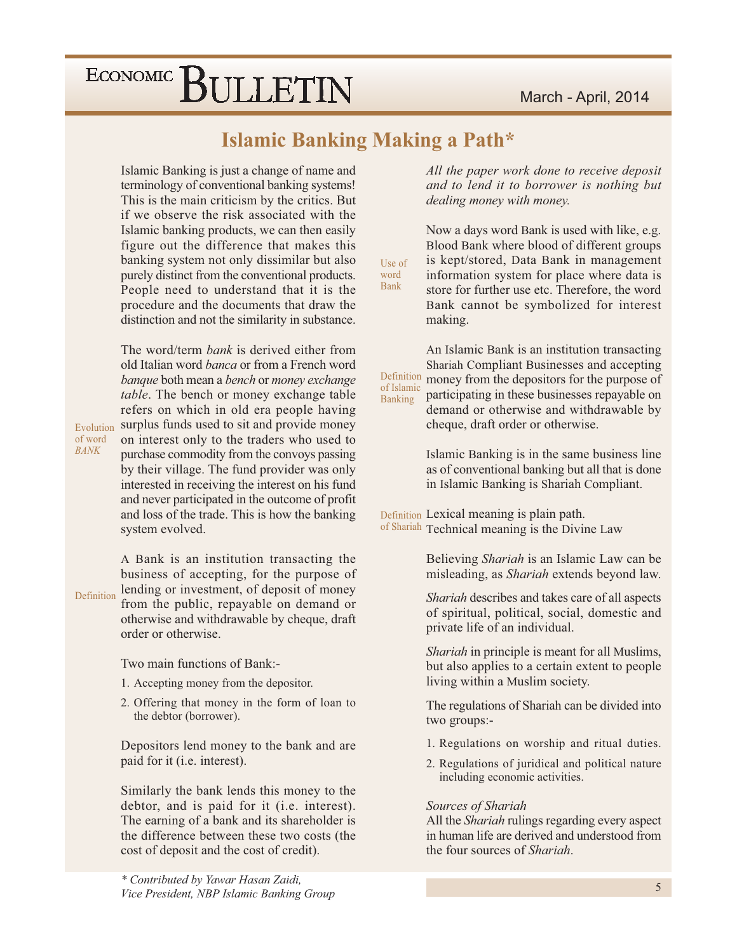#### March - April, 2014

## ECONOMIC BULLETIN

### **Islamic Banking Making a Path\***

Use of

word **Bank** 

Islamic Banking is just a change of name and terminology of conventional banking systems! This is the main criticism by the critics. But if we observe the risk associated with the Islamic banking products, we can then easily figure out the difference that makes this banking system not only dissimilar but also purely distinct from the conventional products. People need to understand that it is the procedure and the documents that draw the distinction and not the similarity in substance.

The word/term *bank* is derived either from old Italian word *banca* or from a French word banque both mean a bench or money exchange table. The bench or money exchange table refers on which in old era people having surplus funds used to sit and provide money Evolution on interest only to the traders who used to purchase commodity from the convoys passing by their village. The fund provider was only interested in receiving the interest on his fund and never participated in the outcome of profit and loss of the trade. This is how the banking system evolved.

A Bank is an institution transacting the business of accepting, for the purpose of lending or investment, of deposit of money Definition from the public, repayable on demand or otherwise and withdrawable by cheque, draft order or otherwise.

Two main functions of Bank:-

- 1. Accepting money from the depositor.
- 2. Offering that money in the form of loan to the debtor (borrower).

Depositors lend money to the bank and are paid for it (*i.e.* interest).

Similarly the bank lends this money to the debtor, and is paid for it (i.e. interest). The earning of a bank and its shareholder is the difference between these two costs (the cost of deposit and the cost of credit).

All the paper work done to receive deposit and to lend it to borrower is nothing but dealing money with money.

Now a days word Bank is used with like, e.g. Blood Bank where blood of different groups is kept/stored, Data Bank in management information system for place where data is store for further use etc. Therefore, the word Bank cannot be symbolized for interest making.

An Islamic Bank is an institution transacting Shariah Compliant Businesses and accepting Definition money from the depositors for the purpose of of Islamic participating in these businesses repayable on Banking demand or otherwise and withdrawable by cheque, draft order or otherwise.

> Islamic Banking is in the same business line as of conventional banking but all that is done in Islamic Banking is Shariah Compliant.

Definition Lexical meaning is plain path. of Shariah Technical meaning is the Divine Law

> Believing Shariah is an Islamic Law can be misleading, as Shariah extends beyond law.

> Shariah describes and takes care of all aspects of spiritual, political, social, domestic and private life of an individual.

> Shariah in principle is meant for all Muslims, but also applies to a certain extent to people living within a Muslim society.

> The regulations of Shariah can be divided into two groups:-

- 1. Regulations on worship and ritual duties.
- 2. Regulations of juridical and political nature including economic activities.

#### Sources of Shariah

All the *Shariah* rulings regarding every aspect in human life are derived and understood from the four sources of *Shariah*.

\* Contributed by Yawar Hasan Zaidi, Vice President, NBP Islamic Banking Group

**BANK** 

of word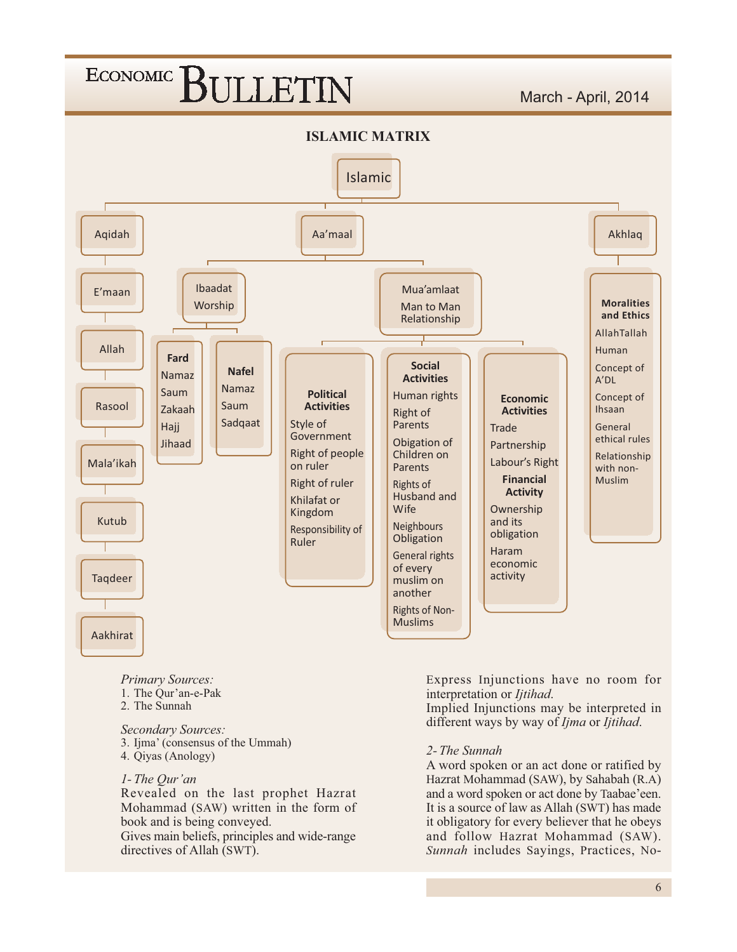

- **Primary Sources:**
- 1. The Qur'an-e-Pak
- 2. The Sunnah

Secondary Sources: 3. Ijma' (consensus of the Ummah) 4. Qiyas (Anology)

#### 1- The Qur'an

Revealed on the last prophet Hazrat Mohammad (SAW) written in the form of book and is being conveyed.

Gives main beliefs, principles and wide-range directives of Allah (SWT).

Express Injunctions have no room for interpretation or *Ijtihad*.

Implied Injunctions may be interpreted in different ways by way of *Ijma* or *Ijtihad*.

#### 2- The Sunnah

A word spoken or an act done or ratified by Hazrat Mohammad (SAW), by Sahabah (R.A) and a word spoken or act done by Taabae'een. It is a source of law as Allah (SWT) has made it obligatory for every believer that he obeys and follow Hazrat Mohammad (SAW). Sunnah includes Sayings, Practices, No-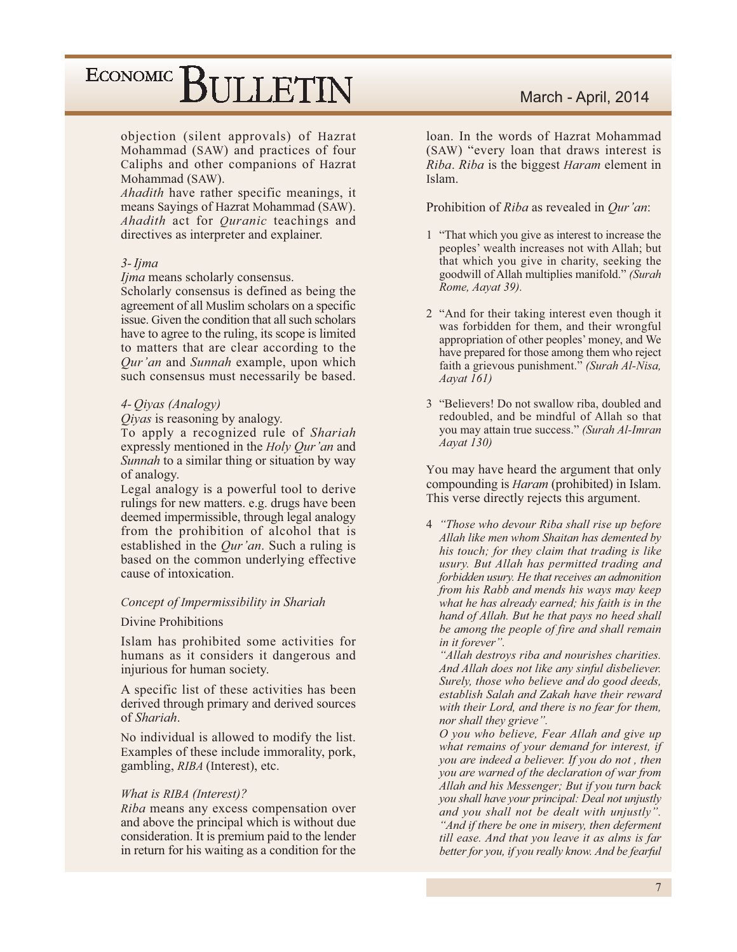objection (silent approvals) of Hazrat Mohammad (SAW) and practices of four Caliphs and other companions of Hazrat Mohammad (SAW).

Ahadith have rather specific meanings, it means Sayings of Hazrat Mohammad (SAW). *Ahadith* act for *Quranic* teachings and directives as interpreter and explainer.

#### $3$ - Ijma

Ijma means scholarly consensus.

Scholarly consensus is defined as being the agreement of all Muslim scholars on a specific issue. Given the condition that all such scholars have to agree to the ruling, its scope is limited to matters that are clear according to the Qur'an and Sunnah example, upon which such consensus must necessarily be based.

#### 4- Oiyas (Analogy)

*Oiyas* is reasoning by analogy.

To apply a recognized rule of Shariah expressly mentioned in the *Holy Qur'an* and Sunnah to a similar thing or situation by way of analogy.

Legal analogy is a powerful tool to derive rulings for new matters, e.g. drugs have been deemed impermissible, through legal analogy from the prohibition of alcohol that is established in the *Our'an*. Such a ruling is based on the common underlying effective cause of intoxication.

#### Concept of Impermissibility in Shariah

Divine Prohibitions

Islam has prohibited some activities for humans as it considers it dangerous and injurious for human society.

A specific list of these activities has been derived through primary and derived sources of Shariah.

No individual is allowed to modify the list. Examples of these include immorality, pork, gambling, RIBA (Interest), etc.

#### What is RIBA (Interest)?

*Riba* means any excess compensation over and above the principal which is without due consideration. It is premium paid to the lender in return for his waiting as a condition for the

#### March - April, 2014

loan. In the words of Hazrat Mohammad (SAW) "every loan that draws interest is Riba. Riba is the biggest Haram element in Islam.

Prohibition of Riba as revealed in Qur'an:

- 1 "That which you give as interest to increase the peoples' wealth increases not with Allah; but that which you give in charity, seeking the goodwill of Allah multiplies manifold." (Surah Rome, Aayat 39).
- 2 "And for their taking interest even though it was forbidden for them, and their wrongful appropriation of other peoples' money, and We have prepared for those among them who reject faith a grievous punishment." (Surah Al-Nisa,  $A$ avat  $161$ )
- 3 "Believers! Do not swallow riba, doubled and redoubled, and be mindful of Allah so that you may attain true success." (Surah Al-Imran  $A$ ayat 130)

You may have heard the argument that only compounding is *Haram* (prohibited) in Islam. This verse directly rejects this argument.

4 "Those who devour Riba shall rise up before" Allah like men whom Shaitan has demented by his touch; for they claim that trading is like usury. But Allah has permitted trading and forbidden usury. He that receives an admonition from his Rabb and mends his ways may keep what he has already earned; his faith is in the hand of Allah. But he that pays no heed shall be among the people of fire and shall remain in it forever".

"Allah destroys riba and nourishes charities. And Allah does not like any sinful disbeliever. Surely, those who believe and do good deeds, establish Salah and Zakah have their reward with their Lord, and there is no fear for them, nor shall they grieve".

O you who believe, Fear Allah and give up what remains of your demand for interest, if you are indeed a believer. If you do not, then you are warned of the declaration of war from Allah and his Messenger; But if you turn back you shall have your principal: Deal not unjustly and you shall not be dealt with unjustly". "And if there be one in misery, then deferment till ease. And that you leave it as alms is far better for you, if you really know. And be fearful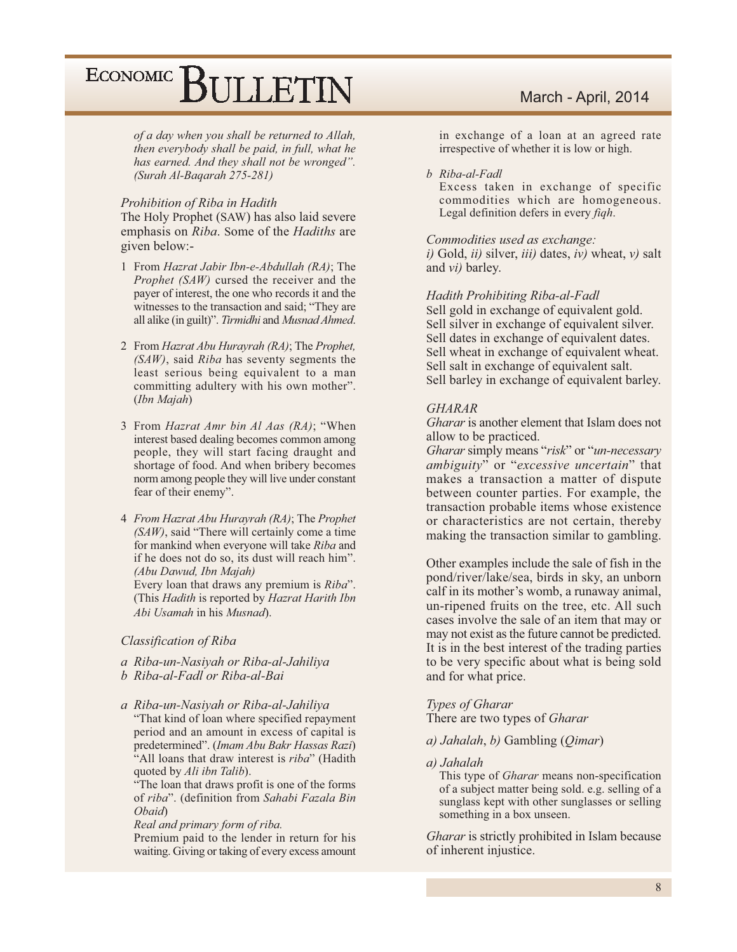of a day when you shall be returned to Allah, then everybody shall be paid, in full, what he has earned. And they shall not be wronged". (Surah Al-Bagarah 275-281)

#### Prohibition of Riba in Hadith

The Holy Prophet (SAW) has also laid severe emphasis on Riba. Some of the Hadiths are given below:-

- 1 From Hazrat Jabir Ibn-e-Abdullah (RA); The *Prophet (SAW)* cursed the receiver and the payer of interest, the one who records it and the witnesses to the transaction and said; "They are all alike (in guilt)". Tirmidhi and Musnad Ahmed.
- 2 From Hazrat Abu Hurayrah (RA); The Prophet,  $(SAW)$ , said Riba has seventy segments the least serious being equivalent to a man committing adultery with his own mother". (Ibn Majah)
- 3 From *Hazrat Amr bin Al Aas (RA)*; "When interest based dealing becomes common among people, they will start facing draught and shortage of food. And when bribery becomes norm among people they will live under constant fear of their enemy".
- 4 From Hazrat Abu Hurayrah (RA); The Prophet (SAW), said "There will certainly come a time for mankind when everyone will take Riba and if he does not do so, its dust will reach him". (Abu Dawud, Ibn Majah)

Every loan that draws any premium is Riba". (This Hadith is reported by Hazrat Harith Ibn Abi Usamah in his Musnad).

#### Classification of Riba

- a Riba-un-Nasiyah or Riba-al-Jahiliya
- b Riba-al-Fadl or Riba-al-Bai
- a Riba-un-Nasiyah or Riba-al-Jahiliya "That kind of loan where specified repayment period and an amount in excess of capital is predetermined". (Imam Abu Bakr Hassas Razi) "All loans that draw interest is riba" (Hadith quoted by Ali ibn Talib).

"The loan that draws profit is one of the forms" of riba". (definition from Sahabi Fazala Bin Obaid)

Real and primary form of riba.

Premium paid to the lender in return for his waiting. Giving or taking of every excess amount

#### March - April, 2014

in exchange of a loan at an agreed rate irrespective of whether it is low or high.

#### b Riba-al-Fadl

Excess taken in exchange of specific commodities which are homogeneous. Legal definition defers in every figh.

#### Commodities used as exchange:

i) Gold, ii) silver, iii) dates, iv) wheat, v) salt and *vi*) barley.

#### Hadith Prohibiting Riba-al-Fadl

Sell gold in exchange of equivalent gold. Sell silver in exchange of equivalent silver. Sell dates in exchange of equivalent dates. Sell wheat in exchange of equivalent wheat. Sell salt in exchange of equivalent salt. Sell barley in exchange of equivalent barley.

#### **GHARAR**

Gharar is another element that Islam does not allow to be practiced.

Gharar simply means "risk" or "un-necessary ambiguity" or "excessive uncertain" that makes a transaction a matter of dispute between counter parties. For example, the transaction probable items whose existence or characteristics are not certain, thereby making the transaction similar to gambling.

Other examples include the sale of fish in the pond/river/lake/sea, birds in sky, an unborn calf in its mother's womb, a runaway animal, un-ripened fruits on the tree, etc. All such cases involve the sale of an item that may or may not exist as the future cannot be predicted. It is in the best interest of the trading parties to be very specific about what is being sold and for what price.

#### **Types of Gharar**

There are two types of *Gharar* 

a) Jahalah, b) Gambling (Qimar)

#### a) Jahalah

This type of *Gharar* means non-specification of a subject matter being sold. e.g. selling of a sunglass kept with other sunglasses or selling something in a box unseen.

*Gharar* is strictly prohibited in Islam because of inherent injustice.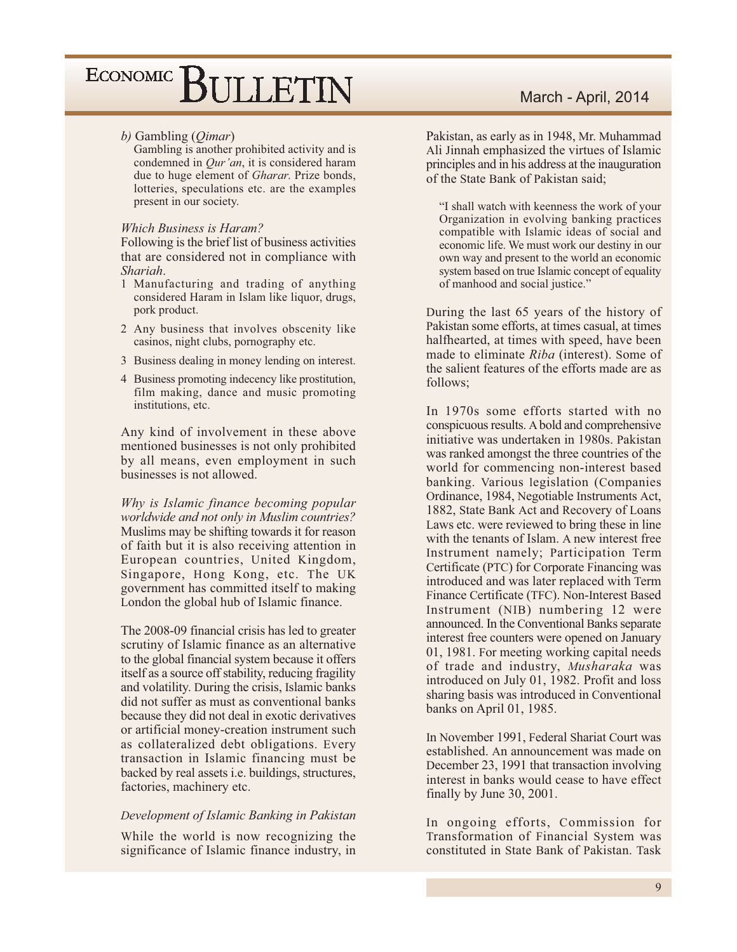#### b) Gambling  $(Qimar)$

Gambling is another prohibited activity and is condemned in  $Qur'an$ , it is considered haram due to huge element of Gharar. Prize bonds, lotteries, speculations etc. are the examples present in our society.

#### Which Business is Haram?

Following is the brief list of business activities that are considered not in compliance with Shariah.

- 1 Manufacturing and trading of anything considered Haram in Islam like liquor, drugs, pork product.
- 2 Any business that involves obscenity like casinos, night clubs, pornography etc.
- 3 Business dealing in money lending on interest.
- 4 Business promoting indecency like prostitution, film making, dance and music promoting institutions, etc.

Any kind of involvement in these above mentioned businesses is not only prohibited by all means, even employment in such businesses is not allowed.

Why is Islamic finance becoming popular worldwide and not only in Muslim countries? Muslims may be shifting towards it for reason of faith but it is also receiving attention in European countries, United Kingdom, Singapore, Hong Kong, etc. The UK government has committed itself to making London the global hub of Islamic finance.

The 2008-09 financial crisis has led to greater scrutiny of Islamic finance as an alternative to the global financial system because it offers itself as a source off stability, reducing fragility and volatility. During the crisis, Islamic banks did not suffer as must as conventional banks because they did not deal in exotic derivatives or artificial money-creation instrument such as collateralized debt obligations. Every transaction in Islamic financing must be backed by real assets i.e. buildings, structures, factories, machinery etc.

#### Development of Islamic Banking in Pakistan

While the world is now recognizing the significance of Islamic finance industry, in

#### March - April, 2014

Pakistan, as early as in 1948, Mr. Muhammad Ali Jinnah emphasized the virtues of Islamic principles and in his address at the inauguration of the State Bank of Pakistan said;

"I shall watch with keenness the work of your Organization in evolving banking practices compatible with Islamic ideas of social and economic life. We must work our destiny in our own way and present to the world an economic system based on true Islamic concept of equality of manhood and social justice."

During the last 65 years of the history of Pakistan some efforts, at times casual, at times halfhearted, at times with speed, have been made to eliminate Riba (interest). Some of the salient features of the efforts made are as follows:

In 1970s some efforts started with no conspicuous results. A bold and comprehensive initiative was undertaken in 1980s. Pakistan was ranked amongst the three countries of the world for commencing non-interest based banking. Various legislation (Companies Ordinance, 1984, Negotiable Instruments Act, 1882, State Bank Act and Recovery of Loans Laws etc. were reviewed to bring these in line with the tenants of Islam. A new interest free Instrument namely; Participation Term Certificate (PTC) for Corporate Financing was introduced and was later replaced with Term Finance Certificate (TFC). Non-Interest Based Instrument (NIB) numbering 12 were announced. In the Conventional Banks separate interest free counters were opened on January 01, 1981. For meeting working capital needs of trade and industry, Musharaka was introduced on July 01, 1982. Profit and loss sharing basis was introduced in Conventional banks on April 01, 1985.

In November 1991, Federal Shariat Court was established. An announcement was made on December 23, 1991 that transaction involving interest in banks would cease to have effect finally by June 30, 2001.

In ongoing efforts, Commission for Transformation of Financial System was constituted in State Bank of Pakistan. Task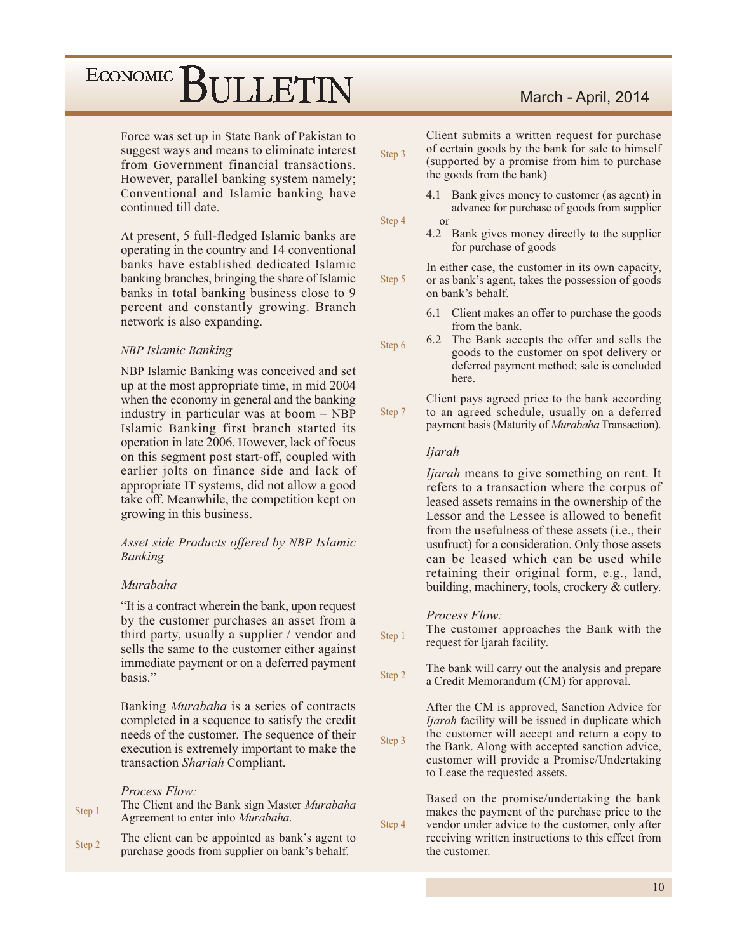Force was set up in State Bank of Pakistan to suggest ways and means to eliminate interest from Government financial transactions. However, parallel banking system namely; Conventional and Islamic banking have continued till date.

At present, 5 full-fledged Islamic banks are operating in the country and 14 conventional banks have established dedicated Islamic banking branches, bringing the share of Islamic banks in total banking business close to 9 percent and constantly growing. Branch network is also expanding.

#### **NBP Islamic Banking**

NBP Islamic Banking was conceived and set up at the most appropriate time, in mid 2004 when the economy in general and the banking industry in particular was at boom - NBP Islamic Banking first branch started its operation in late 2006. However, lack of focus on this segment post start-off, coupled with earlier jolts on finance side and lack of appropriate IT systems, did not allow a good take off. Meanwhile, the competition kept on growing in this business.

#### Asset side Products offered by NBP Islamic **Banking**

#### Murabaha

"It is a contract wherein the bank, upon request by the customer purchases an asset from a third party, usually a supplier / vendor and sells the same to the customer either against immediate payment or on a deferred payment hasis."

Banking Murabaha is a series of contracts completed in a sequence to satisfy the credit needs of the customer. The sequence of their execution is extremely important to make the transaction Shariah Compliant.

#### Process Flow:

| Step 1 | The Client and the Bank sign Master Murabaha |
|--------|----------------------------------------------|
|        | Agreement to enter into <i>Murabaha</i> .    |

The client can be appointed as bank's agent to Step 2 purchase goods from supplier on bank's behalf.

#### March - April, 2014

| Step 3 | Client submits a written request for purchase<br>of certain goods by the bank for sale to himself<br>(supported by a promise from him to purchase<br>the goods from the bank)                                            |
|--------|--------------------------------------------------------------------------------------------------------------------------------------------------------------------------------------------------------------------------|
| Step 4 | 4.1 Bank gives money to customer (as agent) in<br>advance for purchase of goods from supplier<br>$\alpha$<br>4.2 Bank gives money directly to the supplier<br>for purchase of goods                                      |
| Step 5 | In either case, the customer in its own capacity,<br>or as bank's agent, takes the possession of goods<br>on bank's behalf.                                                                                              |
| Step 6 | 6.1 Client makes an offer to purchase the goods<br>from the bank.<br>The Bank accepts the offer and sells the<br>6.2<br>goods to the customer on spot delivery or<br>deferred payment method; sale is concluded<br>here. |
| Step 7 | Client pays agreed price to the bank according<br>to an agreed schedule, usually on a deferred<br>payment basis (Maturity of Murabaha Transaction).                                                                      |
|        | <i>Ijarah</i>                                                                                                                                                                                                            |
|        | <i>ljarah</i> means to give something on rent. It<br>refers to a transaction where the corpus of                                                                                                                         |

leased assets remains in the ownership of the Lessor and the Lessee is allowed to benefit from the usefulness of these assets (*i.e.*, their usufruct) for a consideration. Only those assets can be leased which can be used while retaining their original form, e.g., land, building, machinery, tools, crockery & cutlery.

#### Process Flow:

Step 4

The customer approaches the Bank with the Step 1 request for Ijarah facility.

The bank will carry out the analysis and prepare Step 2 a Credit Memorandum (CM) for approval.

After the CM is approved, Sanction Advice for Ijarah facility will be issued in duplicate which the customer will accept and return a copy to Step 3 the Bank. Along with accepted sanction advice, customer will provide a Promise/Undertaking to Lease the requested assets.

> Based on the promise/undertaking the bank makes the payment of the purchase price to the vendor under advice to the customer, only after receiving written instructions to this effect from the customer.

> > 10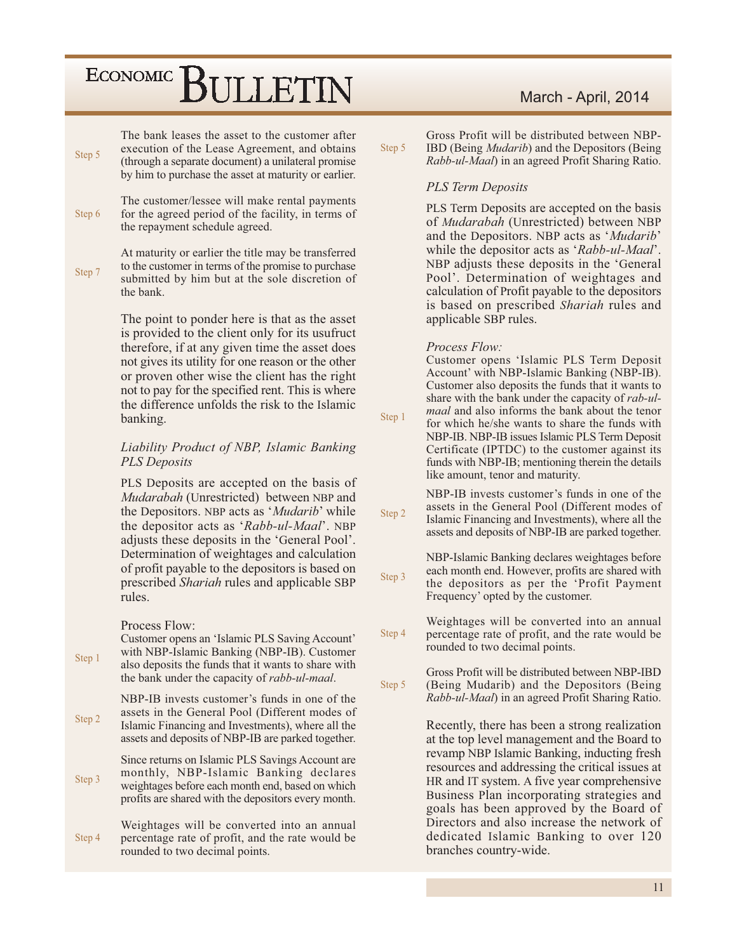| Step 5 | The bank leases the asset to the customer after<br>execution of the Lease Agreement, and obtains<br>(through a separate document) a unilateral promise<br>by him to purchase the asset at maturity or earlier.                                                                                                                                                                                | Step 5           |
|--------|-----------------------------------------------------------------------------------------------------------------------------------------------------------------------------------------------------------------------------------------------------------------------------------------------------------------------------------------------------------------------------------------------|------------------|
| Step 6 | The customer/lessee will make rental payments<br>for the agreed period of the facility, in terms of<br>the repayment schedule agreed.                                                                                                                                                                                                                                                         |                  |
| Step 7 | At maturity or earlier the title may be transferred<br>to the customer in terms of the promise to purchase<br>submitted by him but at the sole discretion of<br>the bank.                                                                                                                                                                                                                     |                  |
|        | The point to ponder here is that as the asset<br>is provided to the client only for its usufruct<br>therefore, if at any given time the asset does<br>not gives its utility for one reason or the other<br>or proven other wise the client has the right<br>not to pay for the specified rent. This is where<br>the difference unfolds the risk to the Islamic<br>banking.                    | Step 1           |
|        | Liability Product of NBP, Islamic Banking<br><b>PLS</b> Deposits                                                                                                                                                                                                                                                                                                                              |                  |
|        | PLS Deposits are accepted on the basis of<br>Mudarabah (Unrestricted) between NBP and<br>the Depositors. NBP acts as 'Mudarib' while<br>the depositor acts as 'Rabb-ul-Maal'. NBP<br>adjusts these deposits in the 'General Pool'.<br>Determination of weightages and calculation<br>of profit payable to the depositors is based on<br>prescribed Shariah rules and applicable SBP<br>rules. | Step 2<br>Step 3 |
| Step 1 | Process Flow:<br>Customer opens an 'Islamic PLS Saving Account'<br>with NBP-Islamic Banking (NBP-IB). Customer<br>also deposits the funds that it wants to share with<br>the bank under the capacity of rabb-ul-maal.                                                                                                                                                                         | Step 4<br>Step 5 |
| Step 2 | NBP-IB invests customer's funds in one of the<br>assets in the General Pool (Different modes of<br>Islamic Financing and Investments), where all the<br>assets and deposits of NBP-IB are parked together.                                                                                                                                                                                    |                  |
| Step 3 | Since returns on Islamic PLS Savings Account are<br>monthly, NBP-Islamic Banking declares<br>weightages before each month end, based on which<br>profits are shared with the depositors every month.                                                                                                                                                                                          |                  |
| Step 4 | Weightages will be converted into an annual<br>percentage rate of profit, and the rate would be<br>rounded to two decimal points.                                                                                                                                                                                                                                                             |                  |

#### March - April, 2014

Gross Profit will be distributed between NBP $ep<sub>5</sub>$ IBD (Being *Mudarib*) and the Depositors (Being *Rabb-ul-Maal*) in an agreed Profit Sharing Ratio.

#### **PLS Term Deposits**

PLS Term Deposits are accepted on the basis of *Mudarabah* (Unrestricted) between NBP and the Depositors. NBP acts as 'Mudarib' while the depositor acts as 'Rabb-ul-Maal'. NBP adjusts these deposits in the 'General Pool'. Determination of weightages and calculation of Profit payable to the depositors is based on prescribed Shariah rules and applicable SBP rules.

#### *Process Flow:*

Customer opens 'Islamic PLS Term Deposit Account' with NBP-Islamic Banking (NBP-IB). Customer also deposits the funds that it wants to share with the bank under the capacity of rab-ul*maal* and also informs the bank about the tenor for which he/she wants to share the funds with NBP-IB. NBP-IB issues Islamic PLS Term Deposit

Certificate (IPTDC) to the customer against its funds with NBP-IB; mentioning therein the details like amount, tenor and maturity.

NBP-IB invests customer's funds in one of the assets in the General Pool (Different modes of  $ep2$ Islamic Financing and Investments), where all the assets and deposits of NBP-IB are parked together.

NBP-Islamic Banking declares weightages before each month end. However, profits are shared with  $ep<sub>3</sub>$ the depositors as per the 'Profit Payment' Frequency' opted by the customer.

Weightages will be converted into an annual  $ep<sub>4</sub>$ percentage rate of profit, and the rate would be rounded to two decimal points.

Gross Profit will be distributed between NBP-IBD  $ep<sub>5</sub>$ (Being Mudarib) and the Depositors (Being) *Rabb-ul-Maal*) in an agreed Profit Sharing Ratio.

> Recently, there has been a strong realization at the top level management and the Board to revamp NBP Islamic Banking, inducting fresh resources and addressing the critical issues at HR and IT system. A five year comprehensive Business Plan incorporating strategies and goals has been approved by the Board of Directors and also increase the network of dedicated Islamic Banking to over 120 branches country-wide.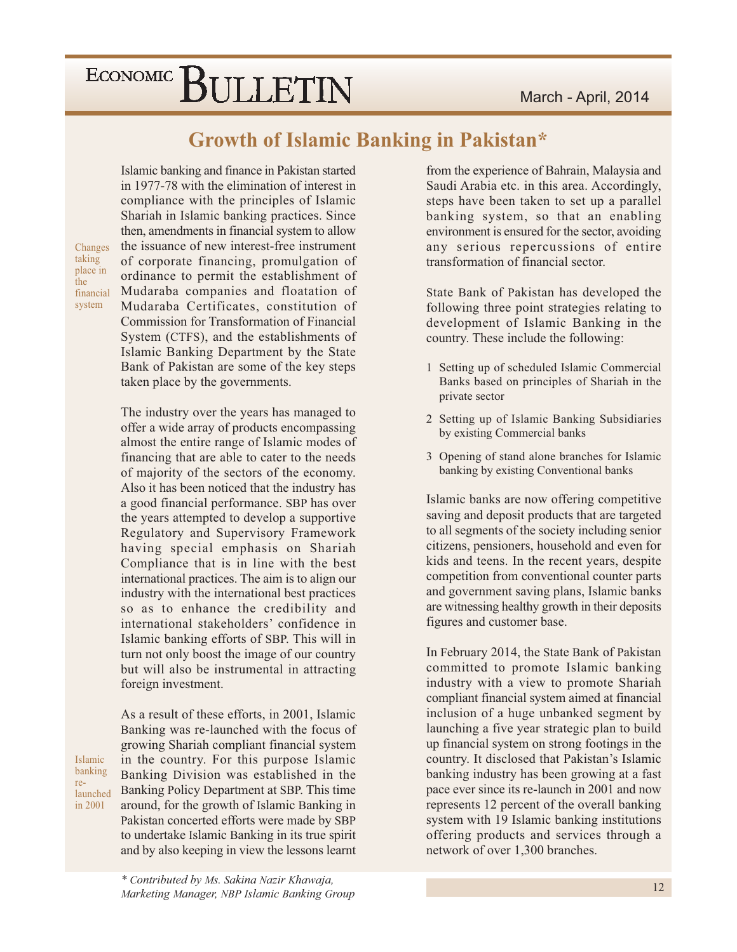Islamic banking and finance in Pakistan started

### **Growth of Islamic Banking in Pakistan\***

in 1977-78 with the elimination of interest in compliance with the principles of Islamic

Changes taking place in the financial system

Islamic hanking

launched

in 2001

re-

Shariah in Islamic banking practices. Since then, amendments in financial system to allow the issuance of new interest-free instrument of corporate financing, promulgation of ordinance to permit the establishment of Mudaraba companies and floatation of Mudaraba Certificates, constitution of **Commission for Transformation of Financial** System (CTFS), and the establishments of Islamic Banking Department by the State Bank of Pakistan are some of the key steps taken place by the governments.

The industry over the years has managed to offer a wide array of products encompassing almost the entire range of Islamic modes of financing that are able to cater to the needs of majority of the sectors of the economy. Also it has been noticed that the industry has a good financial performance. SBP has over the years attempted to develop a supportive Regulatory and Supervisory Framework having special emphasis on Shariah Compliance that is in line with the best international practices. The aim is to align our industry with the international best practices so as to enhance the credibility and international stakeholders' confidence in Islamic banking efforts of SBP. This will in turn not only boost the image of our country but will also be instrumental in attracting foreign investment.

As a result of these efforts, in 2001, Islamic Banking was re-launched with the focus of growing Shariah compliant financial system in the country. For this purpose Islamic Banking Division was established in the Banking Policy Department at SBP. This time around, for the growth of Islamic Banking in Pakistan concerted efforts were made by SBP to undertake Islamic Banking in its true spirit and by also keeping in view the lessons learnt

\* Contributed by Ms. Sakina Nazir Khawaja, Marketing Manager, NBP Islamic Banking Group

from the experience of Bahrain, Malaysia and Saudi Arabia etc. in this area. Accordingly, steps have been taken to set up a parallel banking system, so that an enabling environment is ensured for the sector, avoiding any serious repercussions of entire transformation of financial sector.

State Bank of Pakistan has developed the following three point strategies relating to development of Islamic Banking in the country. These include the following:

- 1 Setting up of scheduled Islamic Commercial Banks based on principles of Shariah in the private sector
- 2 Setting up of Islamic Banking Subsidiaries by existing Commercial banks
- 3 Opening of stand alone branches for Islamic banking by existing Conventional banks

Islamic banks are now offering competitive saving and deposit products that are targeted to all segments of the society including senior citizens, pensioners, household and even for kids and teens. In the recent years, despite competition from conventional counter parts and government saving plans, Islamic banks are witnessing healthy growth in their deposits figures and customer base.

In February 2014, the State Bank of Pakistan committed to promote Islamic banking industry with a view to promote Shariah compliant financial system aimed at financial inclusion of a huge unbanked segment by launching a five year strategic plan to build up financial system on strong footings in the country. It disclosed that Pakistan's Islamic banking industry has been growing at a fast pace ever since its re-launch in 2001 and now represents 12 percent of the overall banking system with 19 Islamic banking institutions offering products and services through a network of over 1,300 branches.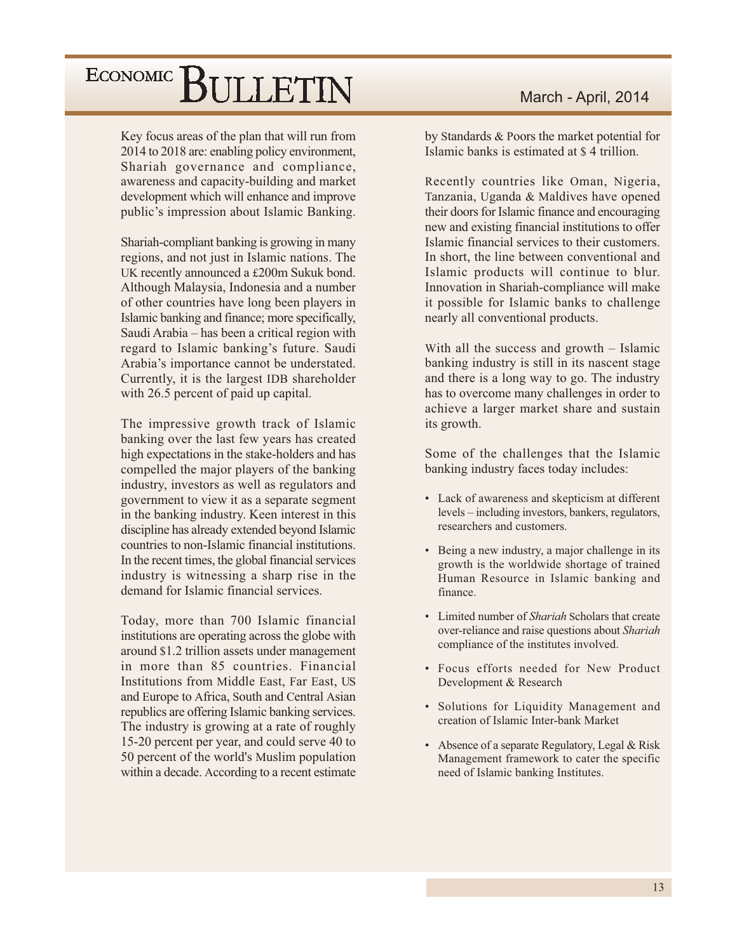Key focus areas of the plan that will run from 2014 to 2018 are: enabling policy environment, Shariah governance and compliance, awareness and capacity-building and market development which will enhance and improve public's impression about Islamic Banking.

Shariah-compliant banking is growing in many regions, and not just in Islamic nations. The UK recently announced a £200m Sukuk bond. Although Malaysia, Indonesia and a number of other countries have long been players in Islamic banking and finance; more specifically, Saudi Arabia – has been a critical region with regard to Islamic banking's future. Saudi Arabia's importance cannot be understated. Currently, it is the largest IDB shareholder with 26.5 percent of paid up capital.

The impressive growth track of Islamic banking over the last few years has created high expectations in the stake-holders and has compelled the major players of the banking industry, investors as well as regulators and government to view it as a separate segment in the banking industry. Keen interest in this discipline has already extended beyond Islamic countries to non-Islamic financial institutions. In the recent times, the global financial services industry is witnessing a sharp rise in the demand for Islamic financial services.

Today, more than 700 Islamic financial institutions are operating across the globe with around \$1.2 trillion assets under management in more than 85 countries. Financial Institutions from Middle East, Far East, US and Europe to Africa, South and Central Asian republics are offering Islamic banking services. The industry is growing at a rate of roughly 15-20 percent per year, and could serve 40 to 50 percent of the world's Muslim population within a decade. According to a recent estimate by Standards & Poors the market potential for Islamic banks is estimated at \$4 trillion.

Recently countries like Oman, Nigeria, Tanzania, Uganda & Maldives have opened their doors for Islamic finance and encouraging new and existing financial institutions to offer Islamic financial services to their customers. In short, the line between conventional and Islamic products will continue to blur. Innovation in Shariah-compliance will make it possible for Islamic banks to challenge nearly all conventional products.

With all the success and growth  $-$  Islamic banking industry is still in its nascent stage and there is a long way to go. The industry has to overcome many challenges in order to achieve a larger market share and sustain its growth.

Some of the challenges that the Islamic banking industry faces today includes:

- Lack of awareness and skepticism at different levels - including investors, bankers, regulators, researchers and customers.
- Being a new industry, a major challenge in its growth is the worldwide shortage of trained Human Resource in Islamic banking and finance.
- Limited number of *Shariah* Scholars that create over-reliance and raise questions about Shariah compliance of the institutes involved.
- Focus efforts needed for New Product Development & Research
- Solutions for Liquidity Management and creation of Islamic Inter-bank Market
- Absence of a separate Regulatory, Legal & Risk Management framework to cater the specific need of Islamic banking Institutes.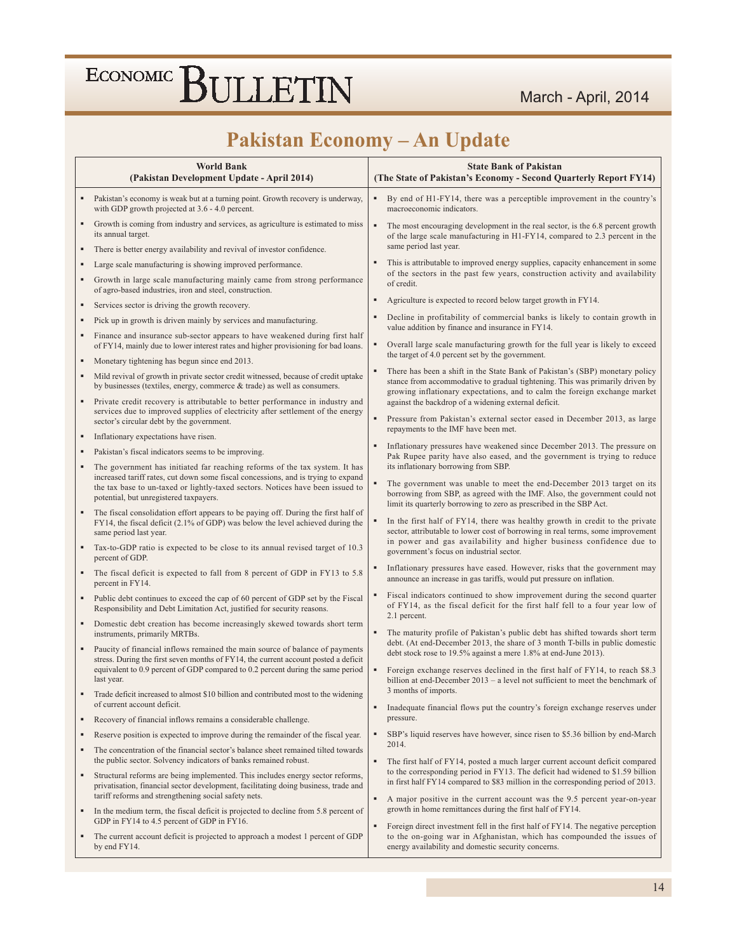### Pakistan Economy - An Update

|   | <b>World Bank</b><br>(Pakistan Development Update - April 2014)                                                                                                                                                                                                                              |                | <b>State Bank of Pakistan</b><br>(The State of Pakistan's Economy - Second Quarterly Report FY14)                                                                                                                                                                                                   |
|---|----------------------------------------------------------------------------------------------------------------------------------------------------------------------------------------------------------------------------------------------------------------------------------------------|----------------|-----------------------------------------------------------------------------------------------------------------------------------------------------------------------------------------------------------------------------------------------------------------------------------------------------|
|   | Pakistan's economy is weak but at a turning point. Growth recovery is underway,<br>with GDP growth projected at 3.6 - 4.0 percent.                                                                                                                                                           | ٠              | By end of H1-FY14, there was a perceptible improvement in the country's<br>macroeconomic indicators.                                                                                                                                                                                                |
|   | Growth is coming from industry and services, as agriculture is estimated to miss<br>its annual target.                                                                                                                                                                                       | $\blacksquare$ | The most encouraging development in the real sector, is the 6.8 percent growth<br>of the large scale manufacturing in H1-FY14, compared to 2.3 percent in the<br>same period last year.                                                                                                             |
| ٠ | There is better energy availability and revival of investor confidence.                                                                                                                                                                                                                      |                |                                                                                                                                                                                                                                                                                                     |
|   | Large scale manufacturing is showing improved performance.                                                                                                                                                                                                                                   |                | This is attributable to improved energy supplies, capacity enhancement in some<br>of the sectors in the past few years, construction activity and availability                                                                                                                                      |
|   | Growth in large scale manufacturing mainly came from strong performance<br>of agro-based industries, iron and steel, construction.                                                                                                                                                           |                | of credit.                                                                                                                                                                                                                                                                                          |
| ٠ | Services sector is driving the growth recovery.                                                                                                                                                                                                                                              | ٠              | Agriculture is expected to record below target growth in FY14.                                                                                                                                                                                                                                      |
| ٠ | Pick up in growth is driven mainly by services and manufacturing.                                                                                                                                                                                                                            |                | Decline in profitability of commercial banks is likely to contain growth in<br>value addition by finance and insurance in FY14.                                                                                                                                                                     |
|   | Finance and insurance sub-sector appears to have weakened during first half<br>of FY14, mainly due to lower interest rates and higher provisioning for bad loans.                                                                                                                            |                | Overall large scale manufacturing growth for the full year is likely to exceed                                                                                                                                                                                                                      |
| ٠ | Monetary tightening has begun since end 2013.                                                                                                                                                                                                                                                |                | the target of 4.0 percent set by the government.                                                                                                                                                                                                                                                    |
|   | Mild revival of growth in private sector credit witnessed, because of credit uptake<br>by businesses (textiles, energy, commerce & trade) as well as consumers.<br>Private credit recovery is attributable to better performance in industry and                                             | $\blacksquare$ | There has been a shift in the State Bank of Pakistan's (SBP) monetary policy<br>stance from accommodative to gradual tightening. This was primarily driven by<br>growing inflationary expectations, and to calm the foreign exchange market<br>against the backdrop of a widening external deficit. |
|   | services due to improved supplies of electricity after settlement of the energy<br>sector's circular debt by the government.                                                                                                                                                                 | ٠              | Pressure from Pakistan's external sector eased in December 2013, as large<br>repayments to the IMF have been met.                                                                                                                                                                                   |
| ٠ | Inflationary expectations have risen.                                                                                                                                                                                                                                                        | ٠              | Inflationary pressures have weakened since December 2013. The pressure on                                                                                                                                                                                                                           |
|   | Pakistan's fiscal indicators seems to be improving.                                                                                                                                                                                                                                          |                | Pak Rupee parity have also eased, and the government is trying to reduce                                                                                                                                                                                                                            |
|   | The government has initiated far reaching reforms of the tax system. It has<br>increased tariff rates, cut down some fiscal concessions, and is trying to expand<br>the tax base to un-taxed or lightly-taxed sectors. Notices have been issued to<br>potential, but unregistered taxpayers. | ٠              | its inflationary borrowing from SBP.<br>The government was unable to meet the end-December 2013 target on its<br>borrowing from SBP, as agreed with the IMF. Also, the government could not<br>limit its quarterly borrowing to zero as prescribed in the SBP Act.                                  |
|   | The fiscal consolidation effort appears to be paying off. During the first half of<br>FY14, the fiscal deficit (2.1% of GDP) was below the level achieved during the<br>same period last year.                                                                                               |                | In the first half of FY14, there was healthy growth in credit to the private<br>sector, attributable to lower cost of borrowing in real terms, some improvement                                                                                                                                     |
|   | Tax-to-GDP ratio is expected to be close to its annual revised target of 10.3<br>percent of GDP.                                                                                                                                                                                             |                | in power and gas availability and higher business confidence due to<br>government's focus on industrial sector.                                                                                                                                                                                     |
|   | The fiscal deficit is expected to fall from 8 percent of GDP in FY13 to 5.8<br>percent in FY14.                                                                                                                                                                                              | ٠              | Inflationary pressures have eased. However, risks that the government may<br>announce an increase in gas tariffs, would put pressure on inflation.                                                                                                                                                  |
|   | Public debt continues to exceed the cap of 60 percent of GDP set by the Fiscal<br>Responsibility and Debt Limitation Act, justified for security reasons.                                                                                                                                    |                | Fiscal indicators continued to show improvement during the second quarter<br>of FY14, as the fiscal deficit for the first half fell to a four year low of<br>2.1 percent.                                                                                                                           |
|   | Domestic debt creation has become increasingly skewed towards short term<br>instruments, primarily MRTBs.                                                                                                                                                                                    |                | The maturity profile of Pakistan's public debt has shifted towards short term                                                                                                                                                                                                                       |
|   | Paucity of financial inflows remained the main source of balance of payments<br>stress. During the first seven months of FY14, the current account posted a deficit                                                                                                                          |                | debt. (At end-December 2013, the share of 3 month T-bills in public domestic<br>debt stock rose to 19.5% against a mere 1.8% at end-June 2013).                                                                                                                                                     |
|   | equivalent to 0.9 percent of GDP compared to 0.2 percent during the same period<br>last year.                                                                                                                                                                                                | $\blacksquare$ | Foreign exchange reserves declined in the first half of FY14, to reach \$8.3<br>billion at end-December 2013 – a level not sufficient to meet the benchmark of<br>3 months of imports.                                                                                                              |
|   | Trade deficit increased to almost \$10 billion and contributed most to the widening<br>of current account deficit.                                                                                                                                                                           | ٠              | Inadequate financial flows put the country's foreign exchange reserves under                                                                                                                                                                                                                        |
|   | Recovery of financial inflows remains a considerable challenge.                                                                                                                                                                                                                              |                | pressure.                                                                                                                                                                                                                                                                                           |
| ٠ | Reserve position is expected to improve during the remainder of the fiscal year.                                                                                                                                                                                                             | ٠              | SBP's liquid reserves have however, since risen to \$5.36 billion by end-March<br>2014.                                                                                                                                                                                                             |
| ٠ | The concentration of the financial sector's balance sheet remained tilted towards<br>the public sector. Solvency indicators of banks remained robust.                                                                                                                                        | $\blacksquare$ | The first half of FY14, posted a much larger current account deficit compared                                                                                                                                                                                                                       |
| ٠ | Structural reforms are being implemented. This includes energy sector reforms,<br>privatisation, financial sector development, facilitating doing business, trade and<br>tariff reforms and strengthening social safety nets.                                                                | ٠              | to the corresponding period in FY13. The deficit had widened to \$1.59 billion<br>in first half FY14 compared to \$83 million in the corresponding period of 2013.<br>A major positive in the current account was the 9.5 percent year-on-year                                                      |
| ٠ | In the medium term, the fiscal deficit is projected to decline from 5.8 percent of<br>GDP in FY14 to 4.5 percent of GDP in FY16.                                                                                                                                                             | $\blacksquare$ | growth in home remittances during the first half of FY14.<br>Foreign direct investment fell in the first half of FY14. The negative perception                                                                                                                                                      |
| ٠ | The current account deficit is projected to approach a modest 1 percent of GDP<br>by end FY14.                                                                                                                                                                                               |                | to the on-going war in Afghanistan, which has compounded the issues of<br>energy availability and domestic security concerns.                                                                                                                                                                       |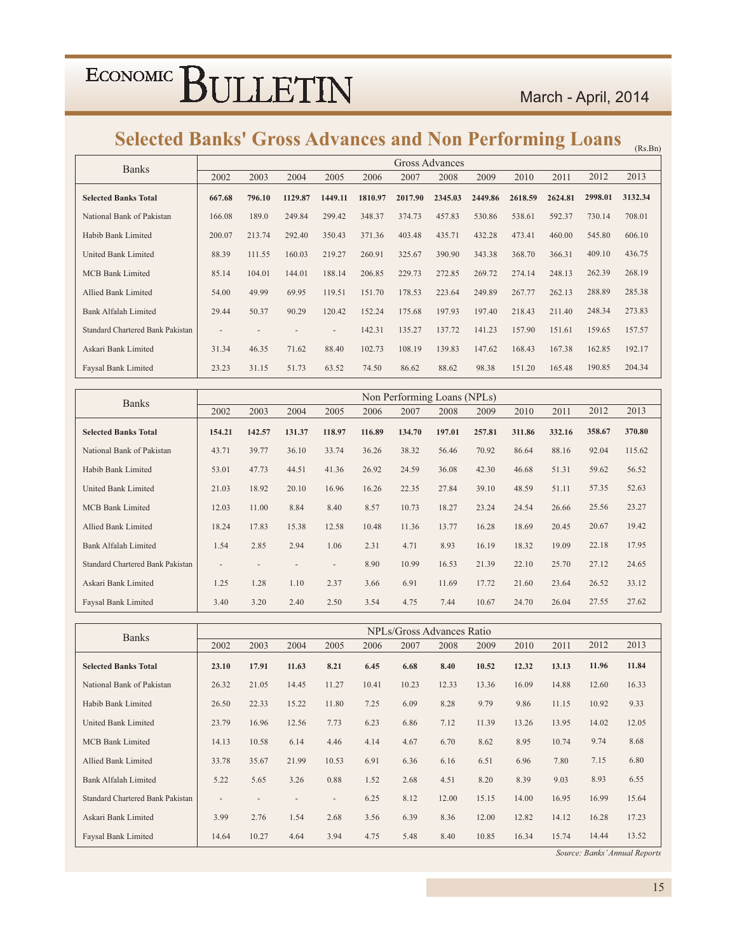### March - April, 2014

### Selected Banks' Gross Advances and Non Performing Loans (Rs.Bn)

| <b>Banks</b>                            |                          |        |         |                          |         |         | Gross Advances |         |         |         |         |         |
|-----------------------------------------|--------------------------|--------|---------|--------------------------|---------|---------|----------------|---------|---------|---------|---------|---------|
|                                         | 2002                     | 2003   | 2004    | 2005                     | 2006    | 2007    | 2008           | 2009    | 2010    | 2011    | 2012    | 2013    |
| <b>Selected Banks Total</b>             | 667.68                   | 796.10 | 1129.87 | 1449.11                  | 1810.97 | 2017.90 | 2345.03        | 2449.86 | 2618.59 | 2624.81 | 2998.01 | 3132.34 |
| National Bank of Pakistan               | 166.08                   | 189.0  | 249.84  | 299.42                   | 348.37  | 374.73  | 457.83         | 530.86  | 538.61  | 592.37  | 730.14  | 708.01  |
| Habib Bank Limited                      | 200.07                   | 213.74 | 292.40  | 350.43                   | 371.36  | 403.48  | 435.71         | 432.28  | 473.41  | 460.00  | 545.80  | 606.10  |
| United Bank Limited                     | 88.39                    | 111.55 | 160.03  | 219.27                   | 260.91  | 325.67  | 390.90         | 343.38  | 368.70  | 366.31  | 409.10  | 436.75  |
| <b>MCB Bank Limited</b>                 | 85.14                    | 104.01 | 144.01  | 188.14                   | 206.85  | 229.73  | 272.85         | 269.72  | 274.14  | 248.13  | 262.39  | 268.19  |
| Allied Bank Limited                     | 54.00                    | 49.99  | 69.95   | 119.51                   | 151.70  | 178.53  | 223.64         | 249.89  | 267.77  | 262.13  | 288.89  | 285.38  |
| Bank Alfalah Limited                    | 29.44                    | 50.37  | 90.29   | 120.42                   | 152.24  | 175.68  | 197.93         | 197.40  | 218.43  | 211.40  | 248.34  | 273.83  |
| <b>Standard Chartered Bank Pakistan</b> | $\overline{\phantom{0}}$ |        |         | $\overline{\phantom{a}}$ | 142.31  | 135.27  | 137.72         | 141.23  | 157.90  | 151.61  | 159.65  | 157.57  |
| Askari Bank Limited                     | 31.34                    | 46.35  | 71.62   | 88.40                    | 102.73  | 108.19  | 139.83         | 147.62  | 168.43  | 167.38  | 162.85  | 192.17  |
| Faysal Bank Limited                     | 23.23                    | 31.15  | 51.73   | 63.52                    | 74.50   | 86.62   | 88.62          | 98.38   | 151.20  | 165.48  | 190.85  | 204.34  |

| <b>Banks</b>                            |                          |        |        |                          |        | Non Performing Loans (NPLs) |        |        |        |        |        |        |
|-----------------------------------------|--------------------------|--------|--------|--------------------------|--------|-----------------------------|--------|--------|--------|--------|--------|--------|
|                                         | 2002                     | 2003   | 2004   | 2005                     | 2006   | 2007                        | 2008   | 2009   | 2010   | 2011   | 2012   | 2013   |
| <b>Selected Banks Total</b>             | 154.21                   | 142.57 | 131.37 | 118.97                   | 116.89 | 134.70                      | 197.01 | 257.81 | 311.86 | 332.16 | 358.67 | 370.80 |
| National Bank of Pakistan               | 43.71                    | 39.77  | 36.10  | 33.74                    | 36.26  | 38.32                       | 56.46  | 70.92  | 86.64  | 88.16  | 92.04  | 115.62 |
| Habib Bank Limited                      | 53.01                    | 47.73  | 44.51  | 41.36                    | 26.92  | 24.59                       | 36.08  | 42.30  | 46.68  | 51.31  | 59.62  | 56.52  |
| <b>United Bank Limited</b>              | 21.03                    | 18.92  | 20.10  | 16.96                    | 16.26  | 22.35                       | 27.84  | 39.10  | 48.59  | 51.11  | 57.35  | 52.63  |
| <b>MCB Bank Limited</b>                 | 12.03                    | 11.00  | 8.84   | 8.40                     | 8.57   | 10.73                       | 18.27  | 23.24  | 24.54  | 26.66  | 25.56  | 23.27  |
| Allied Bank Limited                     | 18.24                    | 17.83  | 15.38  | 12.58                    | 10.48  | 11.36                       | 13.77  | 16.28  | 18.69  | 20.45  | 20.67  | 19.42  |
| <b>Bank Alfalah Limited</b>             | 1.54                     | 2.85   | 2.94   | 1.06                     | 2.31   | 4.71                        | 8.93   | 16.19  | 18.32  | 19.09  | 22.18  | 17.95  |
| <b>Standard Chartered Bank Pakistan</b> | $\overline{\phantom{a}}$ |        |        | $\overline{\phantom{0}}$ | 8.90   | 10.99                       | 16.53  | 21.39  | 22.10  | 25.70  | 27.12  | 24.65  |
| Askari Bank Limited                     | 1.25                     | 1.28   | 1.10   | 2.37                     | 3.66   | 6.91                        | 11.69  | 17.72  | 21.60  | 23.64  | 26.52  | 33.12  |
| <b>Faysal Bank Limited</b>              | 3.40                     | 3.20   | 2.40   | 2.50                     | 3.54   | 4.75                        | 7.44   | 10.67  | 24.70  | 26.04  | 27.55  | 27.62  |

| <b>Banks</b>                            |                          |       |       |       |       |       | NPLs/Gross Advances Ratio |       |       |       |       |       |
|-----------------------------------------|--------------------------|-------|-------|-------|-------|-------|---------------------------|-------|-------|-------|-------|-------|
|                                         | 2002                     | 2003  | 2004  | 2005  | 2006  | 2007  | 2008                      | 2009  | 2010  | 2011  | 2012  | 2013  |
| <b>Selected Banks Total</b>             | 23.10                    | 17.91 | 11.63 | 8.21  | 6.45  | 6.68  | 8.40                      | 10.52 | 12.32 | 13.13 | 11.96 | 11.84 |
| National Bank of Pakistan               | 26.32                    | 21.05 | 14.45 | 11.27 | 10.41 | 10.23 | 12.33                     | 13.36 | 16.09 | 14.88 | 12.60 | 16.33 |
| Habib Bank Limited                      | 26.50                    | 22.33 | 15.22 | 11.80 | 7.25  | 6.09  | 8.28                      | 9.79  | 9.86  | 11.15 | 10.92 | 9.33  |
| <b>United Bank Limited</b>              | 23.79                    | 16.96 | 12.56 | 7.73  | 6.23  | 6.86  | 7.12                      | 11.39 | 13.26 | 13.95 | 14.02 | 12.05 |
| <b>MCB Bank Limited</b>                 | 14.13                    | 10.58 | 6.14  | 4.46  | 4.14  | 4.67  | 6.70                      | 8.62  | 8.95  | 10.74 | 9.74  | 8.68  |
| Allied Bank Limited                     | 33.78                    | 35.67 | 21.99 | 10.53 | 6.91  | 6.36  | 6.16                      | 6.51  | 6.96  | 7.80  | 7.15  | 6.80  |
| <b>Bank Alfalah Limited</b>             | 5.22                     | 5.65  | 3.26  | 0.88  | 1.52  | 2.68  | 4.51                      | 8.20  | 8.39  | 9.03  | 8.93  | 6.55  |
| <b>Standard Chartered Bank Pakistan</b> | $\overline{\phantom{a}}$ |       |       |       | 6.25  | 8.12  | 12.00                     | 15.15 | 14.00 | 16.95 | 16.99 | 15.64 |
| Askari Bank Limited                     | 3.99                     | 2.76  | 1.54  | 2.68  | 3.56  | 6.39  | 8.36                      | 12.00 | 12.82 | 14.12 | 16.28 | 17.23 |
| Faysal Bank Limited                     | 14.64                    | 10.27 | 4.64  | 3.94  | 4.75  | 5.48  | 8.40                      | 10.85 | 16.34 | 15.74 | 14.44 | 13.52 |

Source: Banks' Annual Reports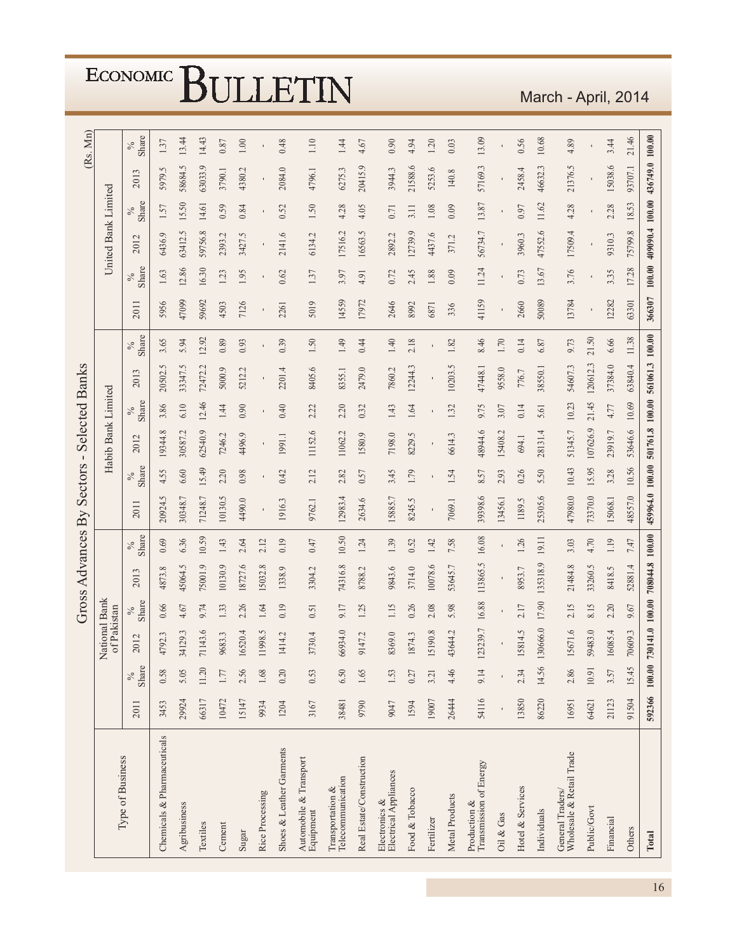|                                                                                    |       |               |                               |                | Gross Advances By |               |                 | Sectors        | $\blacksquare$     |               | <b>Selected Banks</b> |                |                |               |                     |               |                   | (Rs. Mn)      |
|------------------------------------------------------------------------------------|-------|---------------|-------------------------------|----------------|-------------------|---------------|-----------------|----------------|--------------------|---------------|-----------------------|----------------|----------------|---------------|---------------------|---------------|-------------------|---------------|
| Type of Business                                                                   |       |               | National Bank<br>of Pakistan  |                |                   |               |                 |                | Habib Bank Limited |               |                       |                |                |               | United Bank Limited |               |                   |               |
|                                                                                    | 2011  | Share<br>$\%$ | 2012                          | Share<br>$\%$  | 2013              | Share<br>$\%$ | 2011            | Share<br>$\%$  | 2012               | Share<br>$\%$ | 2013                  | Share<br>$\%$  | 2011           | Share<br>$\%$ | 2012                | Share<br>$\%$ | $\epsilon$<br>201 | Share<br>$\%$ |
| Chemicals & Pharmaceuticals                                                        | 3453  | 0.58          | 4792.3                        | 0.66           | 4873.8            | 0.69          | 20924.5         | 4.55           | 19344.8            | 3.86          | 20502.5               | 3.65           | 5956           | 1.63          | 6436.9              | 1.57          | 5979.5            | 1.37          |
| Agribusiness                                                                       | 29924 | 5.05          | 34129.3                       | 4.67           | 45064.5           | 6.36          | 30348.7         | 6.60           | 30587.2            | 6.10          | 33347.5               | 5.94           | 47099          | 12.86         | 63412.5             | 15.50         | 58684.5           | 13.44         |
| Textiles                                                                           | 66317 | 11.20         | 71143.6                       | 9.74           | 75001.9           | 10.59         | 71248.7         | 15.49          | 62540.9            | 12.46         | 72472.2               | 12.92          | 59692          | 16.30         | 59756.8             | 14.61         | 63033.9           | 14.43         |
| Cement                                                                             | 10472 | 1.77          | 9683.3                        | 1.33           | 10130.9           | 1.43          | 10130.5         | 2.20           | 7246.2             | 1.44          | 5000.9                | 0.89           | 4503           | 1.23          | 2393.2              | 0.59          | 3790.1            | $0.87\,$      |
| Sugar                                                                              | 15147 | 2.56          | 6520.4                        | 2.26           | 18727.6           | 2.64          | 4490.0          | 0.98           | 4496.9             | 0.90          | 5212.2                | 0.93           | 7126           | 1.95          | 3427.5              | 0.84          | 4380.2            | $1.00\,$      |
| Rice Processing                                                                    | 9934  | 1.68          | 1998.5                        | 1.64           | 15032.8           | 2.12          |                 |                |                    |               |                       |                |                |               |                     |               |                   |               |
| Shoes & Leather Garments                                                           | 1204  | 0.20          | 414.2                         | 0.19           | 1338.9            | 0.19          | 1916.3          | 0.42           | 1991.1             | 0.40          | 2201.4                | 0.39           | 2261           | 0.62          | 2141.6              | 0.52          | 2084.0            | 0.48          |
| $\begin{array}{lcl} {\rm Automobile\ \&\ Transport}\\ {\rm Equipment} \end{array}$ | 3167  | 0.53          | 3730.4                        | 0.51           | 3304.2            | 0.47          | 9762.1          | 2.12           | 11152.6            | 2.22          | 8405.6                | $1.50\,$       | 5019           | 1.37          | 6134.2              | 1.50          | 4796.1            | 1.10          |
| Telecommunication<br>Transportation &                                              | 38481 | 6.50          | 66934.0                       | 9.17           | 74316.8           | 10.50         | 12983.4         | 2.82           | 11062.2            | 2.20          | 8355.1                | 1.49           | 14559          | 3.97          | 17516.2             | 4.28          | 6275.3            | 1.44          |
| Real Estate/Construction                                                           | 9790  | 1.65          | 9147.2                        | 1.25           | 8788.2            | 1.24          | 2634.6          | 0.57           | 1580.9             | 0.32          | 2479.0                | 0.44           | 17972          | 4.91          | 16563.5             | 4.05          | 20415.9           | 4.67          |
| Electrical Appliances<br>Electronics &                                             | 9047  | 1.53          | 8369.0                        | 1.15           | 9843.6            | 1.39          | 15885.7         | 3.45           | 7198.0             | 1.43          | 7860.2                | 1.40           | 2646           | 0.72          | 2892.2              | 0.71          | 3944.3            | 0.90          |
| Food & Tobacco                                                                     | 1594  | 0.27          | 1874.3                        | 0.26           | 3714.0            | 0.52          | 8245.5          | 1.79           | 8229.5             | 1.64          | 12244.3               | 2.18           | 8992           | 2.45          | 12739.9             | 3.11          | 21588.6           | 4.94          |
| Fertilizer                                                                         | 19007 | 3.21          | 5190.8                        | 2.08           | 10078.6           | 1.42          |                 | $\blacksquare$ |                    |               |                       | $\blacksquare$ | 6871           | 1.88          | 4437.6              | 1.08          | 5253.6            | 1.20          |
| Metal Products                                                                     | 26444 | 4.46          | 43644.2                       | 5.98           | 53645.7           | 7.58          | 7069.1          | 1.54           | 6614.3             | 1.32          | 10203.5               | 1.82           | 336            | 0.09          | 371.2               | 0.09          | 140.8             | 0.03          |
| Transmission of Energy<br>Production &                                             | 54116 | 9.14          | 123239.7                      | 16.88          | 113865.5          | 16.08         | 39398.6         | 8.57           | 48944.6            | 9.75          | 47448.1               | 8.46           | 41159          | 11.24         | 56734.7             | 13.87         | 57169.3           | 13.09         |
| Oil & Gas                                                                          |       |               |                               | $\blacksquare$ |                   | $\mathbf{I}$  | 13456.1         | 2.93           | 15408.2            | 3.07          | 9558.0                | 1.70           | $\blacksquare$ |               | $\mathbf{I}$        |               |                   |               |
| Hotel & Services                                                                   | 13850 | 2.34          | 5814.5                        | 2.17           | 8953.7            | 1.26          | 1189.5          | 0.26           | 694.1              | 0.14          | 776.7                 | 0.14           | 2660           | 0.73          | 3960.3              | 0.97          | 2458.4            | 0.56          |
| Individuals                                                                        | 86220 | 14.56         | 130666.0                      | 17.90          | 135318.9          | 19.11         | 25305.6         | 5.50           | 28131.4            | 5.61          | 38550.1               | 6.87           | 50089          | 13.67         | 47552.6             | 11.62         | 46632.3           | 10.68         |
| Wholesale & Retail Trade<br>General Traders/                                       | 16951 | 2.86          | 5671.6                        | 2.15           | 21484.8           | 3.03          | 47980.0         | 10.43          | 51345.7            | 10.23         | 54607.3               | 9.73           | 13784          | 3.76          | 17509.4             | 4.28          | 21376.5           | 4.89          |
| Public/Govt                                                                        | 64621 | 10.91         | 59483.0                       | 8.15           | 33260.5           | 4.70          | 73370.0         | 15.95          | 107626.9           | 21.45         | 120612.3              | 21.50          | $\blacksquare$ | ٠             | $\blacksquare$      |               |                   |               |
| Financial                                                                          | 21123 | 3.57          | 6085.4                        | 2.20           | 8418.5            | 1.19          | 15068.1         | 3.28           | 23919.7            | 4.77          | 37384.0               | 6.66           | 12282          | 3.35          | 9310.3              | 2.28          | 15038.6           | 3.44          |
| Others                                                                             | 91504 | 15.45         | 70609.3                       | 9.67           | 52881.4           | 7.47          | 48557.0         | 10.56          | 53646.6            | 10.69         | 63840.4               | 11.38          | 63301          | 17.28         | 75799.8             | 18.53         | 93707.1           | 21.46         |
| Total                                                                              |       |               | 592366 100.00 730141.0 100.00 |                | 708044.8 100.00   |               | 459964.0 100.00 |                | 501761.8 100.00    |               | 561061.3 100.00       |                | 366307         | $100.00$      | 409090.4 100.00     |               | 436749.0 100.00   |               |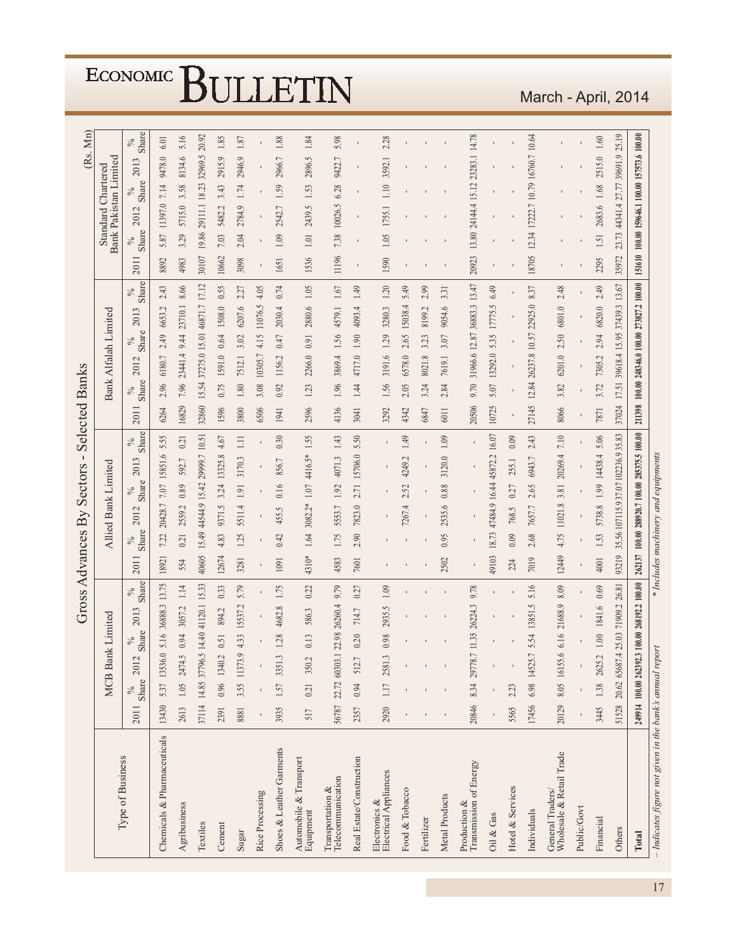|                                                          |       |                      |                        |               |               | Gross                  | Advances By                         |               |                     |               | Sectors | $\blacksquare$                                | Selected |               | <b>Banks</b>        |               |                      |                                        |                |                                               |                    |               |                                   | Mn)<br>(Rs.   |
|----------------------------------------------------------|-------|----------------------|------------------------|---------------|---------------|------------------------|-------------------------------------|---------------|---------------------|---------------|---------|-----------------------------------------------|----------|---------------|---------------------|---------------|----------------------|----------------------------------------|----------------|-----------------------------------------------|--------------------|---------------|-----------------------------------|---------------|
|                                                          |       |                      | MCB Ban                |               | k Limited     |                        |                                     |               | Allied Bank Limited |               |         |                                               |          |               |                     |               | Bank Alfalah Limited |                                        |                |                                               | Standard Chartered |               | Bank Pakistan Limited             |               |
| Type of Business                                         | 2011  | Share<br>$\delta_0'$ | 2012                   | Share<br>$\%$ | 2013          | Share<br>$\%$          | 2011                                | Share<br>$\%$ | 2012                | Share<br>$\%$ | 2013    | <b>Share</b><br>$\%$                          | 2011     | Share<br>$\%$ | 2012                | Share         | 2013                 | Share<br>$\%$                          | 2011           | Share<br>$\%$                                 | 2012               | Share<br>$\%$ | 2013                              | Share<br>$\%$ |
| Chemicals & Pharmaceuticals                              | 13430 |                      | 5.37 13536.0           | 5.16          | 36888.3       | 13.75                  | 18921                               | 7.22          | 20428.7             | 7.07          | 15851.6 | 5.55                                          | 6264     | 2.96          | 6180.7              | 2.49          | 6653.2               | 2.43                                   | 8892           | 5.87                                          | 11397.0            | 7.14          | 9478.0                            | 6.01          |
| Agribusiness                                             | 2613  |                      | 1.05 2474.5            | 0.94          | 3057.2        | 1.14                   | 554                                 | 0.21          | 2559.2              | 0.89          | 592.7   | 0.21                                          | 16829    | 7.96          | 23441.4             | 9.44          | 23710.1              | 8.66                                   | 4983           | 3.29                                          | 5715.0             | 3.58          | 8134.6                            | 5.16          |
| Textiles                                                 |       |                      | 37114 14.85 37796.5    | 14.40         |               | 41120.1 15.33          | 40605                               | 15.49         |                     | 44544.9 15.42 |         | 29999.7 10.51                                 | 32860    | 15.54         |                     | 37275.0 15.01 |                      | 46871.7 17.12                          | 30107          | 19.86                                         | 29111.1            | 18.23         | 32969.5                           | 20.92         |
| Cement                                                   | 2391  |                      | 0.96 1340.2            | 0.51          | 894.2         | 0.33                   | 12674                               | 4.83          | 9371.5              | 3.24          | 13325.8 | 4.67                                          | 1596     | 0.75          | 1591.0              | 0.64          | 1508.0               | 0.55                                   | 10662          | 7.03                                          | 5482.2             | 3.43          | 2915.9                            | 1.85          |
| Sugar                                                    | 8881  |                      | 3.55 11373.9           | 4.33          | 15537.2       | 5.79                   | 3281                                | 1.25          | 5511.4              | $1.91\,$      | 3170.3  | $\Xi$                                         | 3800     | $1.80\,$      | 7512.1              | 3.02          | 6207.6               | 2.27                                   | 3098           | 2.04                                          | 2784.9             | 1.74          | 2946.9                            | $1.87\,$      |
| Rice Processing                                          |       |                      |                        |               |               |                        |                                     |               |                     |               |         |                                               | 6506     | 3.08          | 10305.7             | 4.15          | 11076.5              | 4.05                                   |                |                                               |                    |               |                                   |               |
| Shoes & Leather Garments                                 | 3935  |                      | 1.57 3351.3            | 1.28          | 4682.8        | 1.75                   | 1091                                | 0.42          | 455.5               | 0.16          | 856.7   | 0.30                                          | 1941     | 0.92          | 1156.2              | 0.47          | 2030.4               | 0.74                                   | 1651           | 1.09                                          | 2542.7             | 1.59          | 2966.7                            | 1.88          |
| Automobile & Transport<br>Equipment                      | 517   | 0.21                 | 350.2                  | 0.13          | 586.3         | 0.22                   | 4310*                               | 1.64          | $3082.2*$           | $1.07\,$      | 4416.5* | 1.55                                          | 2596     | 1.23          | 2266.0              | 0.91          | 2880.6               | $1.05\,$                               | 1536           | 1.01                                          | 2439.5             | 1.53          | 2896.5                            | 1.84          |
| Telecommunication<br>Transportation &                    |       |                      | 56787 22.72 60303.1    | 22.98         | 26260.4       | 9.79                   | 4583                                | 1.75          | 5553.7              | 1.92          | 4071.3  | 1.43                                          | 4136     | 1.96          | 3869.4              | 1.56          | 4579.1               | $1.67\,$                               | 11196          | 7.38                                          | 10026.5            | 6.28          | 9422.7                            | 5.98          |
| Real Estate/Construction                                 | 2357  | $0.94$               | 512.7                  | 0.20          | 714.7         | 0.27                   | 7601                                | 2.90          | 7823.0              | 2.71          | 15706.0 | 5.50                                          | 3041     | 1.44          | 4717.0              | $1.90\,$      | 4093.4               | 1.49                                   | $\blacksquare$ |                                               | ٠                  |               |                                   |               |
| ${\rm Electronics~\&}\\ {\rm Electrical~Applications}\\$ | 2920  |                      | 1.17 2581.3            | 0.98          | 2935.5        | 1.09                   |                                     |               |                     |               |         |                                               | 3292     | 1.56          | 3191.6              | 1.29          | 3280.3               | $1.20$                                 | 1590           | 1.05                                          | 1755.1             | 1.10          | 3592.1                            | 2.28          |
| Food & Tobacco                                           |       |                      |                        |               |               |                        |                                     |               | 7267.4              | 2.52          | 4249.2  | 1.49                                          | 4342     | 2.05          | 6578.0              | 2.65          | 15038.4              | 5.49                                   |                |                                               |                    |               |                                   |               |
| Fertilizer                                               |       |                      |                        |               |               |                        |                                     |               |                     |               |         |                                               | 6847     | 3.24          | 8021.8              | 3.23          | 8199.2               | 2.99                                   |                |                                               |                    |               |                                   |               |
| Metal Products                                           |       |                      |                        |               |               |                        | 2502                                | 0.95          | 2535.6              | 0.88          | 3120.0  | 1.09                                          | 6011     | 2.84          | 7619.1              | 3.07          | 9054.6               | 3.31                                   |                |                                               |                    |               |                                   |               |
| Transmission of Energy<br>Production &                   | 20846 |                      | 8.34 29778.7           | 11.35         | 26224.3       | 9.78                   |                                     |               |                     |               |         | ٠                                             | 20506    | 9.70          |                     | 31966.6 12.87 |                      | 36883.3 13.47                          | 20923          |                                               | 13.80 24144.4      | 15.12         | 23283.1                           | 14.78         |
| Oil & Gas                                                |       |                      |                        |               |               |                        | 49103                               | 18.73         |                     | 47484.9 16.44 | 45872.2 | 16.07                                         | 10725    | 5.07          | 13292.0             | 5.35          | 17775.5              | 6.49                                   |                |                                               |                    |               |                                   |               |
| Hotel & Services                                         | 5565  | 2.23                 |                        |               |               |                        | 224                                 | 0.09          | 768.5               | 0.27          | 255.1   | 0.09                                          |          |               |                     |               |                      | ı                                      |                |                                               |                    |               |                                   |               |
| Individuals                                              |       |                      | 17456 6.98 14525.7     | 5.54          | 13851.5       | 5.16                   | 7019                                | 2.68          | 7657.7              | 2.65          | 6943.7  | 2.43                                          | 27145    |               | 12.84 26237.8 10.57 |               | 22925.0              | 8.37                                   | 18705          |                                               |                    |               | 12.34 17222.7 10.79 16760.7 10.64 |               |
| General Traders/<br>Wholesale & Retail Trade             | 20129 |                      | 8.05 16155.6           | 6.16          | 21688.9       | 8.09                   | 12449                               | 4.75          | 11021.8             | 3.81          | 20269.4 | 7.10                                          | 8066     | 3.82          | 6201.0              | 2.50          | 6801.0               | 2.48                                   |                |                                               |                    |               |                                   |               |
| Public/Govt                                              |       |                      |                        |               |               |                        |                                     |               |                     |               |         |                                               |          |               |                     |               |                      |                                        |                |                                               |                    |               |                                   |               |
| Financial                                                | 3445  |                      | 1.38 2625.2            | 1.00          | 1841.6        | 0.69                   | 4001                                | 1.53          | 5738.8              | 1.99          | 14438.4 | 5.06                                          | 7871     | 3.72          | 7305.2              | 2.94          | 6820.0               | 2.49                                   | 2295           | 1.51                                          | 2683.6             | 1.68          | 2515.0                            | $1.60\,$      |
| Others                                                   |       |                      | 51528 20.62 65687.4    |               | 25.03 71909.2 | 26.81                  | 93219                               |               |                     |               |         | 35.56 107115.9 37.07 102236.935.83            | 37024    | 17.51         |                     | 39618.4 15.95 |                      | 37439.3 13.67                          | 35972          |                                               |                    |               | 23.73 44341.4 27.77 39691.9 25.19 |               |
| Total                                                    |       |                      | 249914 100.00 262392.3 |               |               | 100.00 268192.2 100.00 |                                     |               |                     |               |         | 262137 100.00 288920.7 100.00 285375.5 100.00 | 211398   |               |                     |               |                      | 100.00 248346.0 100.00 273827.2 100.00 |                | 151610 100.00 159646.1 100.00 157573.6 100.00 |                    |               |                                   |               |
| - Indicates figure not given in the bank's annual repo   |       |                      |                        |               |               |                        | * Includes machinery and equipments |               |                     |               |         |                                               |          |               |                     |               |                      |                                        |                |                                               |                    |               |                                   |               |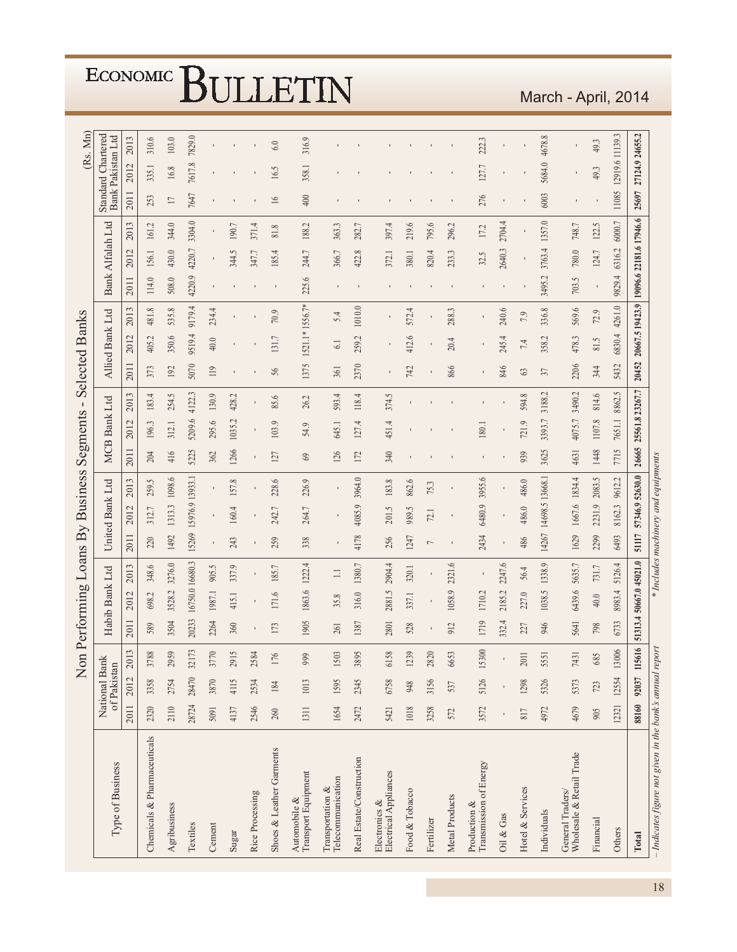|                                                          |       |                              |                       |         |                |                 |                |                 | Non Performing Loans By Business    |       | Segments            | $\blacksquare$ |       | <b>Selected Banks</b> |        |                         |        |        |                          |                                                | (Rs. Mn)  |
|----------------------------------------------------------|-------|------------------------------|-----------------------|---------|----------------|-----------------|----------------|-----------------|-------------------------------------|-------|---------------------|----------------|-------|-----------------------|--------|-------------------------|--------|--------|--------------------------|------------------------------------------------|-----------|
| Type of Business                                         |       | National Bank<br>of Pakistan |                       |         | Habib Bank Ltd |                 |                | United Bank Ltd |                                     |       | <b>MCB Bank Ltd</b> |                |       | Allied Bank Ltd       |        | Bank Alfalah Ltd        |        |        |                          | <b>Standard Chartered</b><br>Bank Pakistan Ltd |           |
|                                                          | 2011  | 2012                         | 3<br>201              | 2011    | 2012           | 2013            | 2011           | 2012            | 2013                                | 2011  | 2012                | 2013           | 2011  | 2012                  | 2013   | 2011                    | 2012   | 2013   | 2011                     | 2012                                           | 2013      |
| Chemicals & Pharmaceuticals                              | 2320  | 3358                         | 3788                  | 589     | 698.2          | 348.6           | 220            | 312.7           | 259.5                               | 204   | 196.3               | 183.4          | 373   | 405.2                 | 481.8  | 114.0                   | 156.1  | 161.2  | 253                      | 335.1                                          | 310.6     |
| Agribusiness                                             | 2110  | 2754                         | 2959                  | 3504    | 3528.2         | 3276.0          | 1492           | 1313.3          | 1098.6                              | 416   | 312.1               | 254.5          | 192   | 350.6                 | 535.8  | 508.0                   | 430.0  | 344.0  | $\overline{\phantom{0}}$ | $16.8\,$                                       | $103.0\,$ |
| Textiles                                                 | 28724 | 28470                        | 32173                 | 20233   |                | 16750.0 16680.3 | 15269          | 15976.9 13933.1 |                                     | 5225  | 5209.6              | 4122.3         | 5070  | 9519.4                | 9179.4 | 4220.9                  | 4220.7 | 3304.0 | 7647                     | 7617.8                                         | 7829.0    |
| Cement                                                   | 5091  | 3870                         | 3770                  | 2264    | 1987.1         | 905.5           |                |                 |                                     | 362   | 295.6               | 130.9          | 119   | $40.0$                | 234.4  |                         |        |        |                          |                                                |           |
| Sugar                                                    | 4137  | 4115                         | 2915                  | 360     | 415.1          | 337.9           | 243            | 160.4           | 157.8                               | 1266  | 1035.2              | 428.2          |       |                       |        |                         | 344.5  | 190.7  |                          |                                                |           |
| Rice Processing                                          | 2546  | 2534                         | 2584                  |         |                |                 |                |                 |                                     |       |                     |                |       |                       |        |                         | 347.7  | 371.4  |                          |                                                |           |
| Shoes & Leather Garments                                 | 260   | 184                          | 176                   | 173     | 171.6          | 185.7           | 259            | 242.7           | 228.6                               | 127   | 103.9               | 85.6           | 56    | 131.7                 | 70.9   |                         | 185.4  | $81.8$ | $\overline{16}$          | 16.5                                           | 6.0       |
| Automobile &<br>Transport Equipment                      | 1311  | 1013                         | 999                   | 1905    | 1863.6         | 1222.4          | 338            | 264.7           | 226.9                               | $69$  | 54.9                | 26.2           | 1375  | 1521.1* 1556.7*       |        | 225.6                   | 244.7  | 188.2  | 400                      | 358.1                                          | 316.9     |
| Telecommunication<br>Transportation &                    | 1654  | 1595                         | 1503                  | 261     | 35.8           | $\equiv$        |                |                 |                                     | 126   | 645.1               | 593.4          | 361   | $\overline{61}$       | 5.4    |                         | 366.7  | 363.3  |                          |                                                |           |
| Real Estate/Construction                                 | 2472  | 2345                         | 3895                  | 1387    | 316.0          | 1380.7          | 4178           | 4085.9          | 3964.0                              | 172   | 127.4               | 118.4          | 2370  | 259.2                 | 1010.0 |                         | 422.8  | 282.7  |                          |                                                |           |
| Electrical Appliances<br>Electronics &                   | 5421  | 6758                         | 6158                  | 2801    | 2881.5         | 2904.4          | 256            | 201.5           | 183.8                               | 340   | 451.4               | 374.5          | ٠     |                       |        |                         | 372.1  | 397.4  |                          |                                                |           |
| Food & Tobacco                                           | 1018  | 948                          | 1239                  | 528     | 337.1          | 320.1           | 1247           | 989.5           | 862.6                               |       |                     |                | 742   | 412.6                 | 572.4  |                         | 380.1  | 219.6  |                          |                                                |           |
| Fertilizer                                               | 3258  | 3156                         | 2820                  |         |                |                 | $\overline{ }$ | 72.1            | 75.3                                |       |                     |                |       |                       |        |                         | 820.4  | 795.6  |                          |                                                |           |
| Metal Products                                           | 572   | 537                          | 6653                  | 912     | 1058.9         | 2321.6          |                |                 |                                     |       |                     |                | 866   | 20.4                  | 288.3  |                         | 233.3  | 296.2  |                          |                                                |           |
| Transmission of Energy<br>Production &                   | 3572  | 5126                         | 15300                 | 1719    | 1710.2         |                 | 2434           | 6480.9          | 3955.6                              |       | 180.1               |                |       |                       |        |                         | 32.5   | 17.2   | 276                      | 127.7                                          | 222.3     |
| Oil & Gas                                                |       |                              |                       | 332.4   | 2185.2         | 2247.6          | $\blacksquare$ |                 |                                     |       |                     |                | 846   | 245.4                 | 240.6  |                         | 2640.3 | 2704.4 |                          |                                                |           |
| Hotel & Services                                         | 817   | 1298                         | 201                   | 227     | 227.0          | 56.4            | 486            | 486.0           | 486.0                               | 939   | 721.9               | 594.8          | 63    | 7.4                   | 7.9    |                         |        |        |                          |                                                |           |
| Individuals                                              | 4972  | 5326                         | 5551                  | 946     | 1038.5         | 1338.9          | 14267          | 14698.5 13668.1 |                                     | 3625  | 3393.7              | 3188.2         | 37    | 358.2                 | 336.8  | 3495.2                  | 3763.4 | 1357.0 | 6003                     | 5684.0                                         | 4678.8    |
| Wholesale & Retail Trade<br>General Traders/             | 4679  | 5373                         | 7431                  | 5641    | 6439.6         | 5635.7          | 1629           | 1667.6 1834.4   |                                     | 4631  | 4075.7              | 3490.2         | 2206  | 478.3                 | 569.6  | 703.5                   | 780.0  | 748.7  |                          |                                                |           |
| Financial                                                | 905   | 723                          | 685                   | 798     | 40.0           | 731.7           | 2299           | 2231.9          | 2083.5                              | 1448  | 1107.8              | 814.6          | 344   | 81.5                  | 72.9   |                         | 124.7  | 122.5  |                          | 49.3                                           | 49.3      |
| Others                                                   | 12321 | 12554                        | 13006                 | 6733    | 8983.4         | 5126.4          | 6493           | $8162.3$        | 9612.2                              | 7715  | 7651.1              | 8862.5         | 5432  | 6830.4                | 4261.0 | 9829.4                  | 6316.2 | 6000.7 | 11085                    | 12919.6 11139.3                                |           |
| Total                                                    | 88160 | 92037                        | $\frac{6}{1}$<br>1156 | 51313.4 |                | 50667.045021.0  | 51117          | 57346.9 52630.0 |                                     | 26665 | 25561.8 23267.7     |                | 20452 | 20667.519423.9        |        | 19096.6 22181.6 17946.6 |        |        | 25697                    | 27124.9 24655.2                                |           |
| - Indicates figure not given in the bank's annual report |       |                              |                       |         |                |                 |                |                 | * Includes machinery and equipments |       |                     |                |       |                       |        |                         |        |        |                          |                                                |           |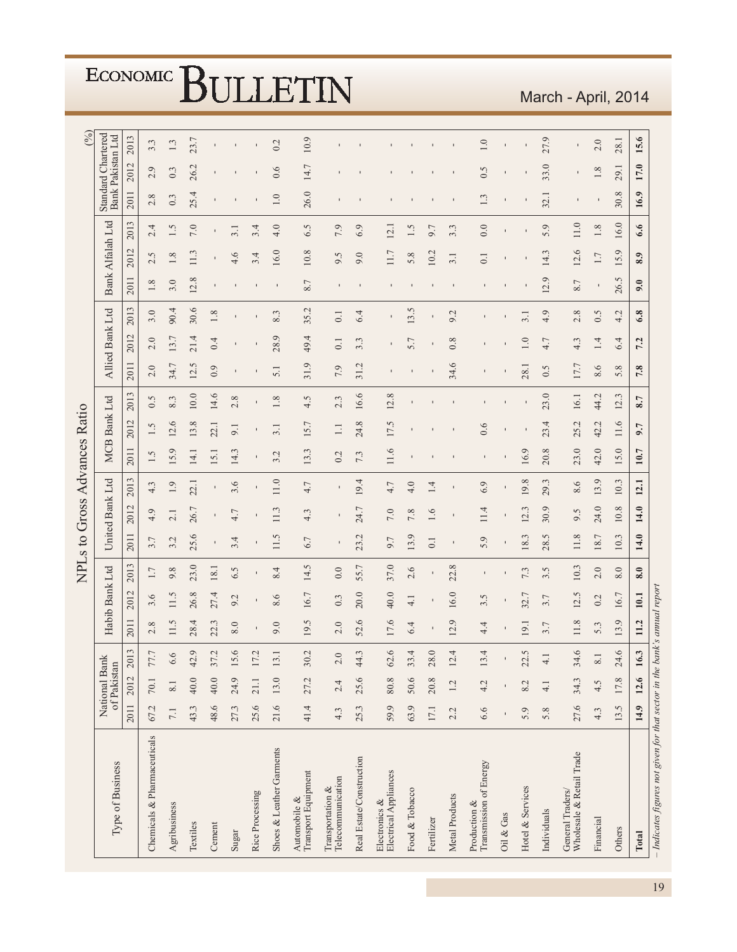|                                                                           |              |                              |               |                       |                     |                | NPLs to Gross Advances Ratio |                   |      |                |                      |         |                |                   |         |                 |                      |        |                    |                   | (%)  |
|---------------------------------------------------------------------------|--------------|------------------------------|---------------|-----------------------|---------------------|----------------|------------------------------|-------------------|------|----------------|----------------------|---------|----------------|-------------------|---------|-----------------|----------------------|--------|--------------------|-------------------|------|
| Type of Business                                                          |              | National Bank<br>of Pakistan |               |                       | Habib Bank Ltd      |                |                              | United Bank Ltd   |      |                | <b>MCB Bank Ltd</b>  |         |                | Allied Bank Ltd   |         |                 | Bank Alfalah Ltd     |        | Standard Chartered | Bank Pakistan Ltd |      |
|                                                                           | 2011         | 2012                         | $\sim$<br>201 | 2011                  | $\mathbf{C}$<br>201 | 2013           | 2011                         | 2012              | 2013 | 2011           | 2012                 | 2013    | 2011           | 2012              | 2013    | 2011            | 2012                 | 2013   | 2011               | 2012              | 2013 |
| Chemicals & Pharmaceuticals                                               | 67.2         | 70.1                         | 77.7          | 2.8                   | 9.<br>S.            | 1.7            | 3.7                          | 4.9               | 4.3  | 1.5            | Ċ.<br>$\overline{ }$ | 0.5     | 2.0            | $\circ$<br>$\sim$ | 3.0     | $1.8\,$         | 5<br>$\sim$          | 2.4    | 2.8                | $\circ$<br>$\sim$ | 3.3  |
| Agribusiness                                                              | 7.1          | 8.1                          | 6.6           | 11.5                  | Ċ.<br>$\Box$        | 9.8            | 3.2                          | 2.1               | 1.9  | 15.9           | 12.6                 | 8.3     | 34.7           | 13.7              | 90.4    | 3.0             | 1.8                  | 1.5    | 0.3                | 0.3               | 1.3  |
| Textiles                                                                  | 43.3         | 40.0                         | 42.9          | 28.4                  | 26.8                | 23.0           | 25.6                         | 26.7              | 22.1 | 14.1           | 13.8                 | 10.0    | 12.5           | 21.4              | 30.6    | 12.8            | 11.3                 | 7.0    | 25.4               | 26.2              | 23.7 |
| Cement                                                                    | 48.6         | 40.0                         | 37.2          | 22.3                  | 27.4                | 18.1           | $\mathbf{I}$                 | $\blacksquare$    |      | 15.1           | 22.1                 | 14.6    | 0.9            | 0.4               | $1.8\,$ |                 |                      |        |                    |                   |      |
| Sugar                                                                     | 27.3         | 24.9                         | 15.6          | 8.0                   | 9.2                 | 6.5            | 3.4                          | 4.7               | 3.6  | 14.3           | 9.1                  | 2.8     |                | ı                 | ı       |                 | 4.6                  | 3.1    |                    |                   |      |
| Rice Processing                                                           | 25.6         | 21.1                         | 17.2          |                       |                     |                |                              |                   |      |                |                      |         |                |                   |         |                 | 3.4                  | 3.4    |                    |                   |      |
| Shoes & Leather Garments                                                  | 21.6         | 13.0                         | 13.1          | 9.0                   | 8.6                 | 8.4            | 11.5                         | 11.3              | 11.0 | 3.2            | 3.1                  | $1.8\,$ | 5.1            | 28.9              | 8.3     | $\mathbf{I}$    | 16.0                 | 4.0    | $1.0\,$            | 0.6               | 0.2  |
| Transport Equipment<br>Automobile &                                       | 41.4         | 27.2                         | 30.2          | Ċ.<br>$\overline{19}$ | 16.7                | 14.5           | 6.7                          | 4.3               | 4.7  | Ċ.<br>13.      | 15.7                 | 4.5     | 31.9           | 49.4              | 35.2    | 8.7             | 10.8                 | 6.5    | 26.0               | 14.7              | 10.9 |
| Telecommunication<br>Transportation &                                     | 4.3          | 2.4                          | $2.0$         | 2.0                   | 0.3                 | 0.0            | $\blacksquare$               | п                 |      | 0.2            | $\Box$               | 2.3     | 7.9            | 0.1               | 0.1     | п               | 9.5                  | 7.9    |                    |                   |      |
| Real Estate/Construction                                                  | 25.3         | 25.6                         | 44.3          | 52.6                  | 20.0                | 55.7           | 23.2                         | 24.7              | 19.4 | 7.3            | 24.8                 | 16.6    | 31.2           | 3.3               | 6.4     |                 | 9.0                  | 6.9    |                    |                   |      |
| Electronics &<br>Electrical Appliances                                    | 59.9         | 80.8                         | 62.6          | 17.6                  | 40.0                | 37.0           | 9.7                          | 7.0               | 4.7  | 11.6           | 17.5                 | 12.8    |                |                   |         |                 | 11.7                 | 12.1   |                    |                   |      |
| Food & Tobacco                                                            | 63.9         | 50.6                         | 33.4          | 6.4                   | 4.1                 | 2.6            | 13.9                         | 7.8               | 4.0  |                |                      |         |                | 5.7               | 13.5    |                 | 5.8                  | 1.5    |                    |                   |      |
| Fertilizer                                                                | 17.1         | 20.8                         | 28.0          |                       |                     |                | 0.1                          | 1.6               | 1.4  |                |                      |         |                |                   |         |                 | 10.2                 | 9.7    |                    |                   |      |
| Metal Products                                                            | 2.2          | 1.2                          | 12.4          | 12.9                  | 16.0                | 22.8           | $\mathbf{I}$                 | $\blacksquare$    |      |                |                      |         | 34.6           | 0.8               | 9.2     | $\blacksquare$  | 3.1                  | 3.3    |                    |                   |      |
| Transmission of Energy<br>Production &                                    | 6.6          | 4.2                          | 13.4          | 4.4                   | 3.5                 | $\blacksquare$ | 5.9                          | 11.4              | 6.9  | $\blacksquare$ | 0.6                  |         |                |                   |         | $\blacksquare$  | 0.1                  | 0.0    | 1.3                | 0.5               | 1.0  |
| Oil & Gas                                                                 | $\mathbf{I}$ |                              |               |                       |                     |                |                              |                   |      |                |                      |         |                |                   |         |                 |                      |        |                    |                   |      |
| Hotel & Services                                                          | 5.9          | 8.2                          | 22.5          | 19.1                  | 32.7                | 7.3            | 18.3                         | $\ddot{3}$<br>12. | 19.8 | 16.9           |                      |         | 28.1           | 1.0               | 3.1     |                 |                      |        |                    |                   |      |
| Individuals                                                               | 5.8          | $\frac{1}{4}$                | $\frac{1}{4}$ | 3.7                   | 3.7                 | 3.5            | S.<br>28.                    | 30.9              | 29.3 | 20.8           | 4<br>23.             | 23.0    | S<br>Ò.        | 4.7               | 4.9     | $\circ$<br>12   | 14.3                 | 5.9    | 32.1               | 33.0              | 27.9 |
| General Traders/<br>Wholesale & Retail Trade                              | 27.6         | 34.3                         | 34.6          | 11.8                  | 12.5                | 10.3           | 11.8                         | Ċ.<br>Ò,          | 8.6  | 23.0           | 25.2                 | 16.1    | 17.7           | 4.3               | 2.8     | 8.7             | 12.6                 | $11.0$ | ı                  | ı                 | ı    |
| Financial                                                                 | 4.3          | 4.5                          | 8.1           | 5.3                   | 0.2                 | 2.0            | 18.7                         | 24.0              | 13.9 | 42.0           | 42.2                 | 44.2    | 8.6            | 1.4               | 0.5     |                 | 1.7                  | 1.8    |                    | 1.8               | 2.0  |
| Others                                                                    | 13.5         | 17.8                         | 24.6          | 13.9                  | 16.7                | 8.0            | 10.3                         | 10.8              | 10.3 | 15.0           | 11.6                 | 12.3    | $\infty$<br>5. | 6.4               | 4.2     | $\sigma$<br>26. | $\mathcal{O}$<br>15. | 16.0   | $\infty$<br>30.    | 29.1              | 28.1 |
| Total                                                                     | 14.9         | 12.6                         | 16.3          | 11.2                  | 10.1                | 8.0            | 14.0                         | 14.0              | 12.1 | 10.7           | 9.7                  | 8.7     | 7.8            | 7.2               | 6.8     | 9.0             | 8.9                  | 6.6    | 16.9               | 17.0              | 15.6 |
| - Indicates figures not given for that sector in the bank's annual report |              |                              |               |                       |                     |                |                              |                   |      |                |                      |         |                |                   |         |                 |                      |        |                    |                   |      |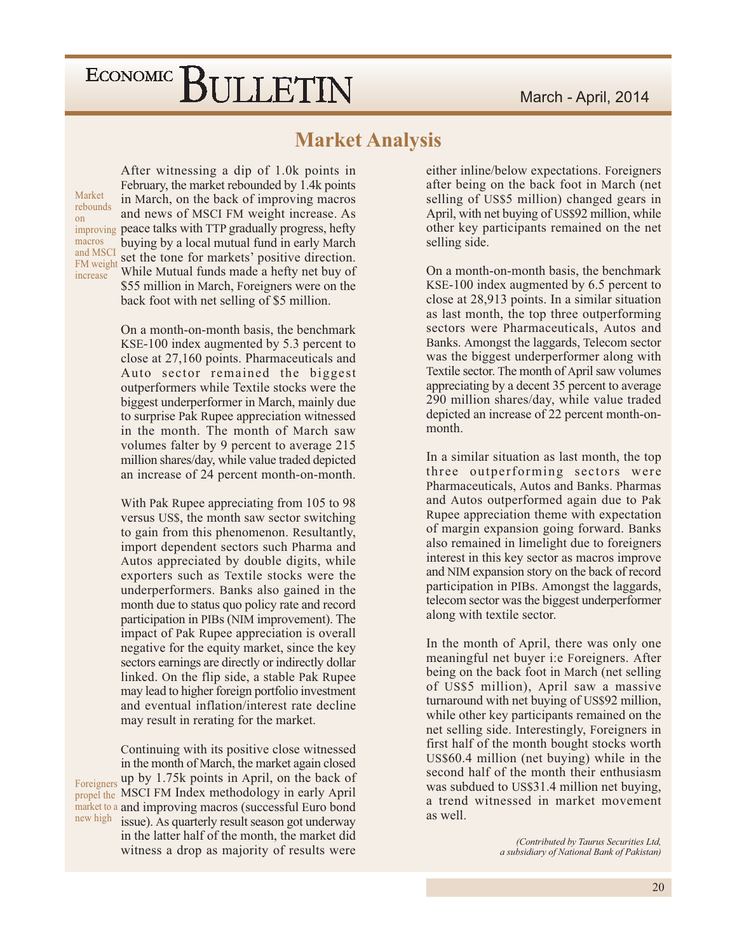### **Market Analysis**

Market rebounds on macros and MSCI FM weight increase

After witnessing a dip of 1.0k points in February, the market rebounded by 1.4k points in March, on the back of improving macros and news of MSCI FM weight increase. As improving peace talks with TTP gradually progress, hefty buying by a local mutual fund in early March set the tone for markets' positive direction. While Mutual funds made a hefty net buy of \$55 million in March, Foreigners were on the back foot with net selling of \$5 million.

> On a month-on-month basis, the benchmark KSE-100 index augmented by 5.3 percent to close at 27,160 points. Pharmaceuticals and Auto sector remained the biggest outperformers while Textile stocks were the biggest underperformer in March, mainly due to surprise Pak Rupee appreciation witnessed in the month. The month of March saw volumes falter by 9 percent to average 215 million shares/day, while value traded depicted an increase of 24 percent month-on-month.

> With Pak Rupee appreciating from 105 to 98 versus US\$, the month saw sector switching to gain from this phenomenon. Resultantly, import dependent sectors such Pharma and Autos appreciated by double digits, while exporters such as Textile stocks were the underperformers. Banks also gained in the month due to status quo policy rate and record participation in PIBs (NIM improvement). The impact of Pak Rupee appreciation is overall negative for the equity market, since the key sectors earnings are directly or indirectly dollar linked. On the flip side, a stable Pak Rupee may lead to higher foreign portfolio investment and eventual inflation/interest rate decline may result in rerating for the market.

Continuing with its positive close witnessed in the month of March, the market again closed Foreigners up by 1.75k points in April, on the back of propel the MSCI FM Index methodology in early April market to a and improving macros (successful Euro bond new high issue). As quarterly result season got underway in the latter half of the month, the market did witness a drop as majority of results were

either inline/below expectations. Foreigners after being on the back foot in March (net selling of US\$5 million) changed gears in April, with net buying of US\$92 million, while other key participants remained on the net selling side.

On a month-on-month basis, the benchmark KSE-100 index augmented by  $6.5$  percent to close at 28,913 points. In a similar situation as last month, the top three outperforming sectors were Pharmaceuticals, Autos and Banks. Amongst the laggards, Telecom sector was the biggest underperformer along with Textile sector. The month of April saw volumes appreciating by a decent 35 percent to average 290 million shares/day, while value traded depicted an increase of 22 percent month-onmonth.

In a similar situation as last month, the top three outperforming sectors were Pharmaceuticals, Autos and Banks. Pharmas and Autos outperformed again due to Pak Rupee appreciation theme with expectation of margin expansion going forward. Banks also remained in limelight due to foreigners interest in this key sector as macros improve and NIM expansion story on the back of record participation in PIBs. Amongst the laggards, telecom sector was the biggest underperformer along with textile sector.

In the month of April, there was only one meaningful net buyer i: eForeigners. After being on the back foot in March (net selling) of US\$5 million), April saw a massive turnaround with net buying of US\$92 million, while other key participants remained on the net selling side. Interestingly, Foreigners in first half of the month bought stocks worth  $US$60.4$  million (net buying) while in the second half of the month their enthusiasm was subdued to US\$31.4 million net buying, a trend witnessed in market movement as well.

> (Contributed by Taurus Securities Ltd, a subsidiary of National Bank of Pakistan)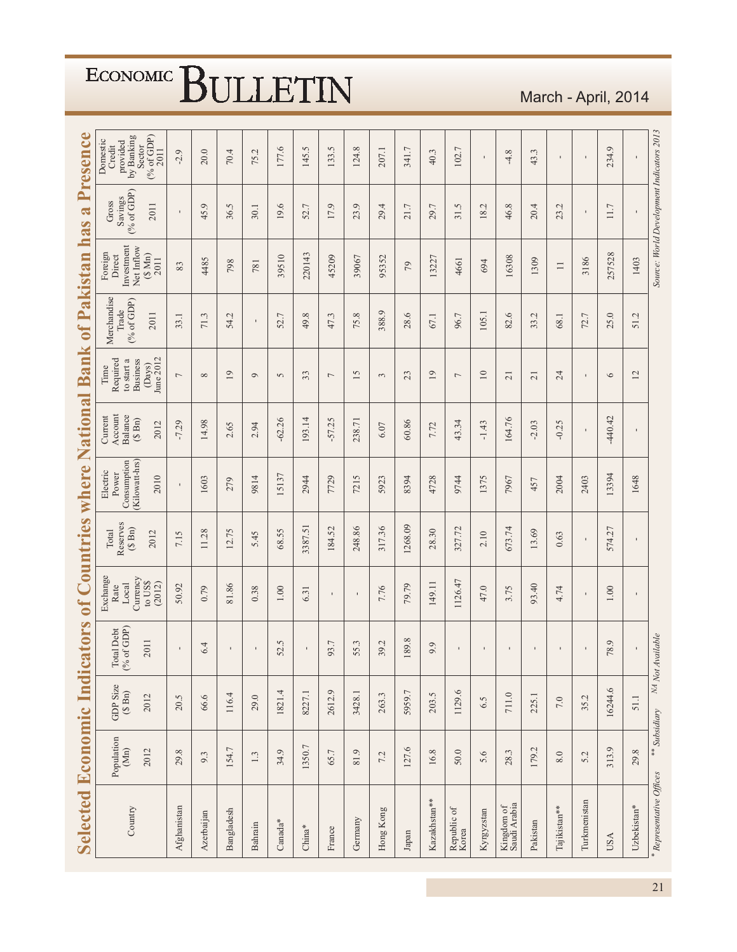| <b>Selected Economic Indicators</b> |                              |                            |                                  | of Countries                                               |                                         | where                                                      |                                                                      | National Bank                                                            | of Pakistan                                |                                                                 | $\mathbf{\tilde{a}}$<br>has               | Presence                                                                   |
|-------------------------------------|------------------------------|----------------------------|----------------------------------|------------------------------------------------------------|-----------------------------------------|------------------------------------------------------------|----------------------------------------------------------------------|--------------------------------------------------------------------------|--------------------------------------------|-----------------------------------------------------------------|-------------------------------------------|----------------------------------------------------------------------------|
| Country                             | Population<br>$(Mn)$<br>2012 | GDP Size $(\$$ Bn)<br>2012 | Total Debt<br>(% of GDP)<br>2011 | Exchange<br>Currency<br>to US\$<br>(2012)<br>Local<br>Rate | Reserves<br>$(S \nBn)$<br>Total<br>2012 | (Kilowatt-hrs)<br>Consumption<br>Electric<br>Power<br>2010 | Account<br>Balance<br>Current<br>$(\mathbb{S}\ \mathrm{Bn})$<br>2012 | June 2012<br>Required<br><b>Business</b><br>to start a<br>(Days)<br>Time | Merchandise<br>(% of GDP)<br>Trade<br>2011 | Investment<br>Net Inflow<br>Foreign<br>(S Mn)<br>Direct<br>2011 | $(%$ of GDP)<br>Savings<br>Gross<br>2011  | $(*GDP)$<br>provided<br>by Banking<br>Domestic<br>Credit<br>Sector<br>2011 |
| Afghanistan                         | 29.8                         | 20.5                       |                                  | 50.92                                                      | 7.15                                    | $\mathbf{I}$                                               | $-7.29$                                                              | $\overline{\phantom{0}}$                                                 | 33.1                                       | 83                                                              | $\mathbf I$                               | $-2.9$                                                                     |
| Azerbaijan                          | 9.3                          | 66.6                       | 6.4                              | 0.79                                                       | 11.28                                   | 1603                                                       | 14.98                                                                | $\infty$                                                                 | 71.3                                       | 4485                                                            | 45.9                                      | 20.0                                                                       |
| Bangladesh                          | 154.7                        | 116.4                      |                                  | 81.86                                                      | 12.75                                   | 279                                                        | 2.65                                                                 | $\overline{19}$                                                          | 54.2                                       | 798                                                             | 36.5                                      | 70.4                                                                       |
| Bahrain                             | $1.3\,$                      | 29.0                       |                                  | 0.38                                                       | 5.45                                    | 9814                                                       | 2.94                                                                 | $\circ$                                                                  | $\blacksquare$                             | 781                                                             | 30.1                                      | 75.2                                                                       |
| Canada*                             | 34.9                         | 1821.4                     | 52.5                             | $1.00\,$                                                   | 68.55                                   | 5137                                                       | $-62.26$                                                             | $\sim$                                                                   | 52.7                                       | 39510                                                           | 19.6                                      | 177.6                                                                      |
| $China*$                            | 1350.7                       | 8227.1                     | $\mathbf I$                      | 6.31                                                       | 3387.51                                 | 2944                                                       | 193.14                                                               | 33                                                                       | $\infty$<br>49.                            | 220143                                                          | 52.7                                      | 145.5                                                                      |
| France                              | 65.7                         | 2612.9                     | 93.7                             | $\blacksquare$                                             | 184.52                                  | 7729                                                       | $-57.25$                                                             | $\overline{\phantom{0}}$                                                 | 47.3                                       | 45209                                                           | 17.9                                      | 133.5                                                                      |
| Germany                             | 81.9                         | 3428.1                     | 55.3                             | $\mathbf I$                                                | 248.86                                  | 7215                                                       | 238.71                                                               | 15                                                                       | 75.8                                       | 39067                                                           | 23.9                                      | 124.8                                                                      |
| Hong Kong                           | 7.2                          | 263.3                      | 39.2                             | 7.76                                                       | 317.36                                  | 5923                                                       | 6.07                                                                 | $\tilde{3}$                                                              | 388.9                                      | 95352                                                           | 29.4                                      | 207.1                                                                      |
| Japan                               | 127.6                        | 5959.7                     | 189.8                            | 79.79                                                      | 1268.09                                 | 8394                                                       | 60.86                                                                | 23                                                                       | 28.6                                       | $\mathcal{L}$                                                   | 21.7                                      | 341.7                                                                      |
| Kazakhstan**                        | 16.8                         | 203.5                      | 9.9                              | 149.11                                                     | 28.30                                   | 4728                                                       | 7.72                                                                 | $\overline{19}$                                                          | 67.1                                       | 13227                                                           | 29.7                                      | 40.3                                                                       |
| Republic of<br>Korea                | 50.0                         | 1129.6                     |                                  | 1126.47                                                    | 327.72                                  | 9744                                                       | 43.34                                                                | $\overline{\phantom{0}}$                                                 | 96.7                                       | 4661                                                            | Ċ,<br>$\overline{31}$                     | 102.7                                                                      |
| Kyrgyzstan                          | 5.6                          | 6.5                        |                                  | 47.0                                                       | 2.10                                    | 1375                                                       | $-1.43$                                                              | $\overline{10}$                                                          | 105.1                                      | 694                                                             | 18.2                                      | $\blacksquare$                                                             |
| Kingdom of<br>Saudi Arabia          | 28.3                         | 711.0                      |                                  | 3.75                                                       | 673.74                                  | 7967                                                       | 164.76                                                               | $\overline{21}$                                                          | 82.6                                       | 16308                                                           | 46.8                                      | $-4.8$                                                                     |
| Pakistan                            | 179.2                        | 225.1                      |                                  | 93.40                                                      | 13.69                                   | 457                                                        | $-2.03$                                                              | $\overline{21}$                                                          | L,<br>33.                                  | 1309                                                            | 20.4                                      | 43.3                                                                       |
| Tajikistan**                        | $\, 8.0$                     | $7.0\,$                    |                                  | 4.74                                                       | 0.63                                    | 2004                                                       | $-0.25$                                                              | 24                                                                       | 68.1                                       | $\equiv$                                                        | 23.2                                      | $\blacksquare$                                                             |
| Turkmenistan                        | 5.2                          | 35.2                       |                                  |                                                            | $\blacksquare$                          | 2403                                                       | $\blacksquare$                                                       | $\blacksquare$                                                           | 72.7                                       | 3186                                                            | $\blacksquare$                            | $\mathbf I$                                                                |
| <b>USA</b>                          | 313.9                        | 16244.6                    | 78.9                             | $1.00\,$                                                   | 574.27                                  | 13394                                                      | $-440.42$                                                            | $\circ$                                                                  | 25.0                                       | 257528                                                          | 11.7                                      | 234.9                                                                      |
| Uzbekistan*                         | 29.8                         | 51.1                       |                                  | ı                                                          | $\blacksquare$                          | 1648                                                       | ı                                                                    | 12                                                                       | L,<br>51                                   | 1403                                                            | ı                                         | $\blacksquare$                                                             |
| * Representative Offices            | ** Subsidiary                |                            | NA Not Available                 |                                                            |                                         |                                                            |                                                                      |                                                                          |                                            |                                                                 | Source: World Development Indicators 2013 |                                                                            |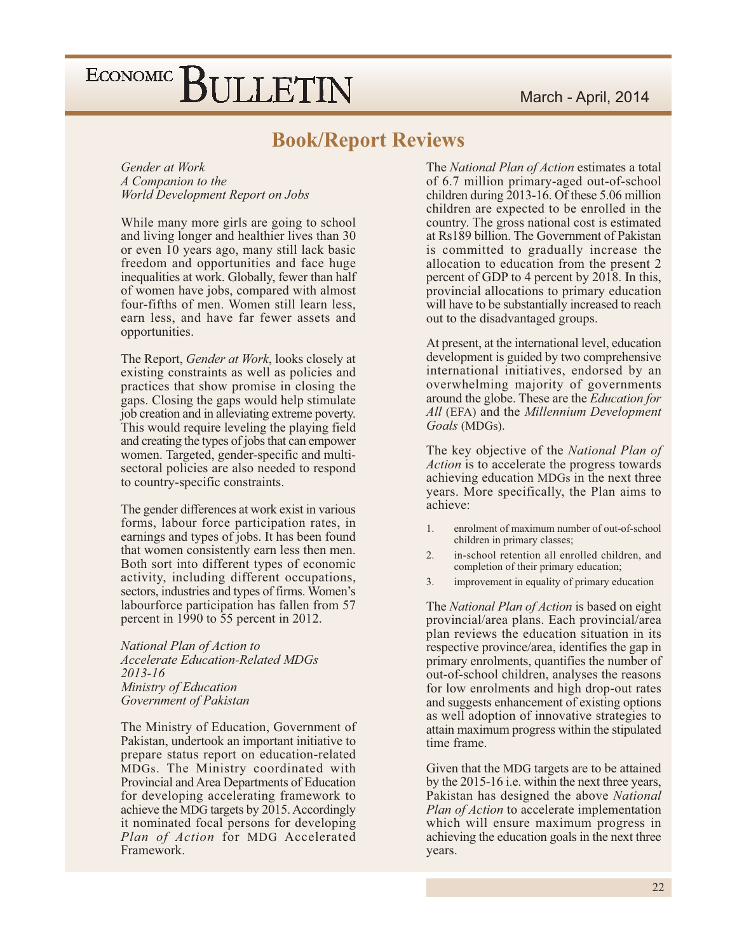### **Book/Report Reviews**

Gender at Work A Companion to the World Development Report on Jobs

While many more girls are going to school and living longer and healthier lives than 30 or even 10 years ago, many still lack basic freedom and opportunities and face huge inequalities at work. Globally, fewer than half of women have jobs, compared with almost four-fifths of men. Women still learn less, earn less, and have far fewer assets and opportunities.

The Report, *Gender at Work*, looks closely at existing constraints as well as policies and practices that show promise in closing the gaps. Closing the gaps would help stimulate job creation and in alleviating extreme poverty. This would require leveling the playing field and creating the types of jobs that can empower women. Targeted, gender-specific and multisectoral policies are also needed to respond to country-specific constraints.

The gender differences at work exist in various forms, labour force participation rates, in earnings and types of jobs. It has been found that women consistently earn less then men. Both sort into different types of economic activity, including different occupations, sectors, industries and types of firms. Women's labourforce participation has fallen from 57 percent in 1990 to 55 percent in 2012.

National Plan of Action to **Accelerate Education-Related MDGs** 2013-16 Ministry of Education Government of Pakistan

The Ministry of Education, Government of Pakistan, undertook an important initiative to prepare status report on education-related MDGs. The Ministry coordinated with Provincial and Area Departments of Education for developing accelerating framework to achieve the MDG targets by 2015. Accordingly it nominated focal persons for developing Plan of Action for MDG Accelerated Framework.

The National Plan of Action estimates a total of 6.7 million primary-aged out-of-school children during 2013-16. Of these 5.06 million children are expected to be enrolled in the country. The gross national cost is estimated at Rs189 billion. The Government of Pakistan is committed to gradually increase the allocation to education from the present 2 percent of GDP to 4 percent by 2018. In this, provincial allocations to primary education will have to be substantially increased to reach out to the disadvantaged groups.

At present, at the international level, education development is guided by two comprehensive international initiatives, endorsed by an overwhelming majority of governments around the globe. These are the *Education for* All (EFA) and the Millennium Development Goals (MDGs).

The key objective of the *National Plan of Action* is to accelerate the progress towards achieving education MDGs in the next three years. More specifically, the Plan aims to achieve<sup>.</sup>

- $\mathbf{1}$ enrolment of maximum number of out-of-school children in primary classes;
- $2<sub>1</sub>$ in-school retention all enrolled children, and completion of their primary education;
- 3. improvement in equality of primary education

The National Plan of Action is based on eight provincial/area plans. Each provincial/area plan reviews the education situation in its respective province/area, identifies the gap in primary enrolments, quantifies the number of out-of-school children, analyses the reasons for low enrolments and high drop-out rates and suggests enhancement of existing options as well adoption of innovative strategies to attain maximum progress within the stipulated time frame.

Given that the MDG targets are to be attained by the 2015-16 i.e. within the next three years, Pakistan has designed the above National *Plan of Action* to accelerate implementation which will ensure maximum progress in achieving the education goals in the next three years.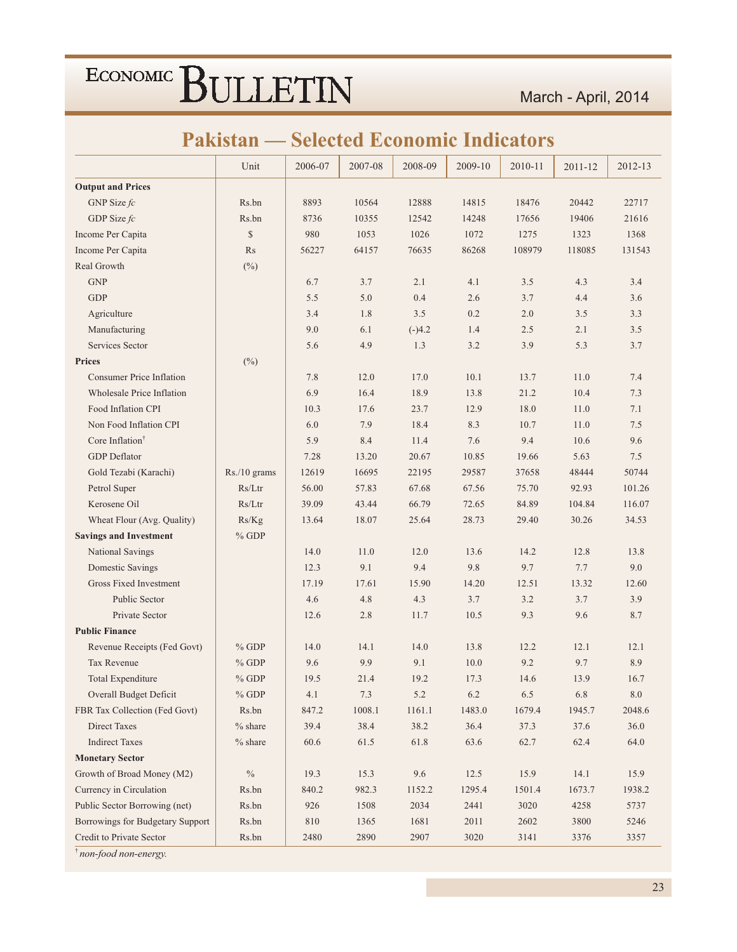### **Pakistan — Selected Economic Indicators**

|                                  | Unit         | 2006-07  | 2007-08 | 2008-09  | 2009-10 | 2010-11 | 2011-12 | 2012-13 |
|----------------------------------|--------------|----------|---------|----------|---------|---------|---------|---------|
| <b>Output and Prices</b>         |              |          |         |          |         |         |         |         |
| GNP Size $fc$                    | Rs.bn        | 8893     | 10564   | 12888    | 14815   | 18476   | 20442   | 22717   |
| GDP Size fc                      | Rs.bn        | 8736     | 10355   | 12542    | 14248   | 17656   | 19406   | 21616   |
| Income Per Capita                | \$           | 980      | 1053    | 1026     | 1072    | 1275    | 1323    | 1368    |
| Income Per Capita                | Rs           | 56227    | 64157   | 76635    | 86268   | 108979  | 118085  | 131543  |
| Real Growth                      | $(\%)$       |          |         |          |         |         |         |         |
| <b>GNP</b>                       |              | 6.7      | 3.7     | 2.1      | 4.1     | 3.5     | 4.3     | 3.4     |
| <b>GDP</b>                       |              | 5.5      | 5.0     | 0.4      | 2.6     | 3.7     | 4.4     | 3.6     |
| Agriculture                      |              | 3.4      | 1.8     | 3.5      | 0.2     | 2.0     | 3.5     | 3.3     |
| Manufacturing                    |              | 9.0      | 6.1     | $(-)4.2$ | 1.4     | 2.5     | 2.1     | 3.5     |
| Services Sector                  |              | 5.6      | 4.9     | 1.3      | 3.2     | 3.9     | 5.3     | 3.7     |
| <b>Prices</b>                    | $(\%)$       |          |         |          |         |         |         |         |
| <b>Consumer Price Inflation</b>  |              | 7.8      | 12.0    | 17.0     | 10.1    | 13.7    | 11.0    | 7.4     |
| <b>Wholesale Price Inflation</b> |              | 6.9      | 16.4    | 18.9     | 13.8    | 21.2    | 10.4    | 7.3     |
| Food Inflation CPI               |              | 10.3     | 17.6    | 23.7     | 12.9    | 18.0    | 11.0    | 7.1     |
| Non Food Inflation CPI           |              | 6.0      | 7.9     | 18.4     | 8.3     | 10.7    | 11.0    | 7.5     |
| Core Inflation <sup>†</sup>      |              | 5.9      | 8.4     | 11.4     | 7.6     | 9.4     | 10.6    | 9.6     |
| <b>GDP</b> Deflator              |              | 7.28     | 13.20   | 20.67    | 10.85   | 19.66   | 5.63    | 7.5     |
| Gold Tezabi (Karachi)            | Rs./10 grams | 12619    | 16695   | 22195    | 29587   | 37658   | 48444   | 50744   |
| Petrol Super                     | Rs/Ltr       | 56.00    | 57.83   | 67.68    | 67.56   | 75.70   | 92.93   | 101.26  |
| Kerosene Oil                     | Rs/Ltr       | 39.09    | 43.44   | 66.79    | 72.65   | 84.89   | 104.84  | 116.07  |
| Wheat Flour (Avg. Quality)       | Rs/Kg        | 13.64    | 18.07   | 25.64    | 28.73   | 29.40   | 30.26   | 34.53   |
| <b>Savings and Investment</b>    | $%$ GDP      |          |         |          |         |         |         |         |
| National Savings                 |              | 14.0     | 11.0    | 12.0     | 13.6    | 14.2    | 12.8    | 13.8    |
| Domestic Savings                 |              | 12.3     | 9.1     | 9.4      | 9.8     | 9.7     | 7.7     | 9.0     |
| <b>Gross Fixed Investment</b>    |              | 17.19    | 17.61   | 15.90    | 14.20   | 12.51   | 13.32   | 12.60   |
| Public Sector                    |              | 4.6      | 4.8     | 4.3      | 3.7     | 3.2     | 3.7     | 3.9     |
| Private Sector                   |              | 12.6     | 2.8     | 11.7     | 10.5    | 9.3     | 9.6     | 8.7     |
| <b>Public Finance</b>            |              |          |         |          |         |         |         |         |
| Revenue Receipts (Fed Govt)      | $%$ GDP      | 14.0     | 14.1    | 14.0     | 13.8    | 12.2    | 12.1    | 12.1    |
| Tax Revenue                      | $%$ GDP      | 9.6      | 9.9     | 9.1      | 10.0    | 9.2     | 9.7     | 8.9     |
| Total Expenditure                | $%$ GDP      | 19.5     | 21.4    | 19.2     | 17.3    | 14.6    | 13.9    | 16.7    |
| Overall Budget Deficit           | $\%$ GDP     | 4.1      | $7.3\,$ | $5.2\,$  | 6.2     | 6.5     | 6.8     | $8.0\,$ |
| FBR Tax Collection (Fed Govt)    | Rs.bn        | 847.2    | 1008.1  | 1161.1   | 1483.0  | 1679.4  | 1945.7  | 2048.6  |
| Direct Taxes                     | $%$ share    | 39.4     | 38.4    | 38.2     | 36.4    | 37.3    | 37.6    | 36.0    |
| <b>Indirect Taxes</b>            | $%$ share    | $60.6\,$ | 61.5    | 61.8     | 63.6    | 62.7    | 62.4    | 64.0    |
| <b>Monetary Sector</b>           |              |          |         |          |         |         |         |         |
| Growth of Broad Money (M2)       | $\%$         | 19.3     | 15.3    | 9.6      | 12.5    | 15.9    | 14.1    | 15.9    |
| Currency in Circulation          | Rs.bn        | 840.2    | 982.3   | 1152.2   | 1295.4  | 1501.4  | 1673.7  | 1938.2  |
| Public Sector Borrowing (net)    | Rs.bn        | 926      | 1508    | 2034     | 2441    | 3020    | 4258    | 5737    |
| Borrowings for Budgetary Support | Rs.bn        | 810      | 1365    | 1681     | 2011    | 2602    | 3800    | 5246    |
| Credit to Private Sector         | Rs.bn        | 2480     | 2890    | 2907     | 3020    | 3141    | 3376    | 3357    |

non-food non-energy.